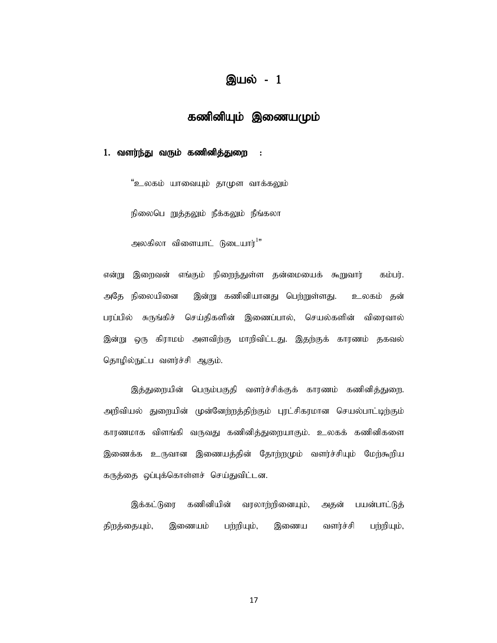## இயல் - 1

# கணினியும் இணையமும் **இயல் - 1**<br>**கணினியும் இணையமும்**<br>ர்**ர்து வரும் கணினித்துறை :**<br>"உலகம் யாவையும் தாமுள வாக்கலும்<br>நிலைபெ றுத்தலும் நீக்கலும் நீங்கலா<br>அலகிலா விளையாட் டுடையார்<sup>!</sup>"

#### 1. வளர்ந்து வரும் கணினித்துறை :

"உலகம் யாவையும் தாமுள வாக்கலும்

அலகிலா விளையாட் டுடையார்<sup>1</sup>"

என்று இறைவன் எங்கும் நிறைந்துள்ள தன்மையைக் கூறுவார் கம்பர். அதே நிலையினை இன்று கணினியானது பெற்றுள்ளது. உலகம் தன் பரப்பில் சுருங்கிச் செய்திகளின் இணைப்பால், செயல்களின் விரைவால் இன்று ஒரு கிராமம் அளவிற்கு மாறிவிட்டது. இதற்குக் காரணம் தகவல் தொழில்நுட்ப வளர்ச்சி ஆகும்.<br>.<br>இத்துறையின் பெரும்பகுதி வளர்ச்சிக்குக் காரணம் கணினித்துறை.

அறிவியல் துறையின் முன்னேற்றத்திற்கும் புரட்சிகரமான செயல்பாட்டிற்கும் காரணமாக விளங்கி வருவது கணினித்துறையாகும். உலகக் கணினிகளை இணைக்க உருவான இணையத்தின் தோற்றமும் வளர்ச்சியும் மேற்கூறிய கருத்தை ஒப்புக்கொள்ளச் செய்துவிட்டன.

இக்கட்டுரை கணினியின் வரலாற்றினையும், அதன் பயன்பாட்டுத் திறத்தையும், இணையம் பற்றியும், இணைய வளர்ச்சி பற்றியும்,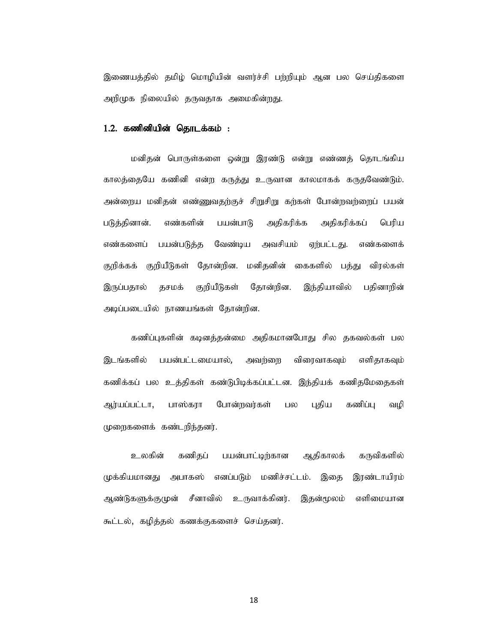இணையத்தில் தமிம் மொமியின் வளர்ச்சி பர்ரியும் ஆன பல செய்திகளை அறிமுக நிலையில் தருவதாக அமைகின்றது.

#### $1.2.$  கணினியின் தொடக்கம் :

மனிதன் பொருள்களை ஒன்று இரண்டு என்று எண்ணத் தொடங்கிய காலத்தையே கணினி என்ற கருத்து உருவான காலமாகக் கருதவேண்டும். அன்றைய மனிதன் எண்ணுவதற்குச் சிறுசிறு கற்கள் போன்றவற்றைப் பயன் படுத்தினான். எண்களின் பயன்பாடு அதிகரிக்க அதிகரிக்கப் பெரிய எண்களைப் பயன்படுத்த வேண்டிய அவசியம் ஏற்பட்டது. எண்களைக் இணையத்தில் தமிழ் மொழியின் வளர்ச்சி பற்றியும் ஆன பல செய்திகளை<br>அறிமுக நிலையில் தருவதாக அமைகின்றது.<br>1.2. **கணினியின் தொடக்கம் :**<br>மனிதன் பொருள்களை ஒன்று இரண்டு என்று எண்ணத் தெருடங்கிய<br>தாலத்தையே கணினி என்ற கருத்து உருவான காலமாக துறிமுக நிலையில் தருவதாக அமைகின்றது.<br>அறிமுக நிலையின் **தொடக்கம் :**<br>- மனிதன் பொருள்களை ஒன்று இரண்டு என்று எண்ணத் தொடங்கிய<br>காலத்தையே கணினி என்று கருத்து உருவான காலமாகக் கருதவேண்டும்.<br>அன்றைய மனிதன் எண்களின் - பயன்பாடு - அதி அடிப்படையில் நாணயங்கள் தோன்றின.

கணிப்புகளின் கடினத்தன்மை அதிகமானபோது சில தகவல்கள் பல இடங்களில் பயன்பட்டமையால், அவற்றை விரைவாகவும் எளிதாகவும் கணிக்கப் பல உத்திகள் கண்டுபிடிக்கப்பட்டன. இந்தியக் கணிதமேதைகள் ஆர்யப்பட்டா, பாஸ்கரா போன்றவர்கள் பல புதிய கணிப்பு வழி முறைகளைக் கண்டறிந்தனர்.

உலகின் கணிதப் பயன்பாட்டிற்கான ஆதிகாலக் கருவிகளில் முக்கியமானது அபாகஸ் எனப்படும் மணிச்சட்டம். இதை இரண்டாயிரம் ஆண்டுகளுக்குமுன் சீனாவில் உருவாக்கினர். இதன்மூலம் எளிமையான கூட்டல், கழித்தல் கணக்குகளைச் செய்தனர்.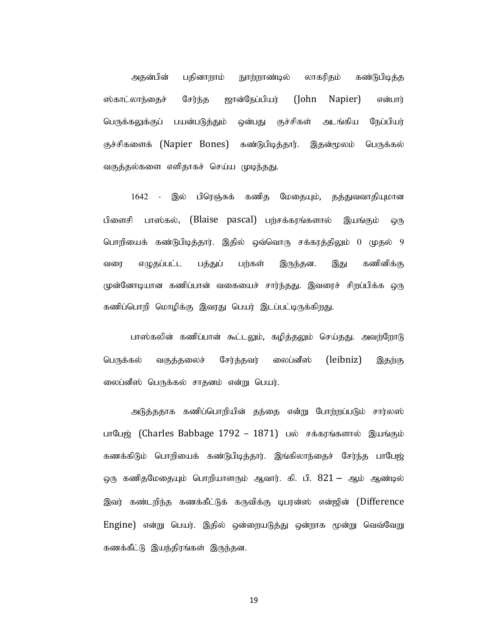அதன்பின் பதினாறாம் நுாற்றாண்டில் லாகரிதம் கண்டுபிடித்த ஸ்காட்லாந்தைச் சேர்ந்த ஜான்நேப்பியர் (John Napier) என்பார் பெருக்கலுக்குப் பயன்படுத்தும் ஒன்பது குச்சிகள் அடங்கிய நேப்பியர் குச்சிகளைக் (Napier Bones) கண்டுபிடித்தார். இதன்மூலம் பெருக்கல் வகுத்தல்களை எளிதாகச் செய்ய முடிந்தது.

1642 - இல் பிரெஞ்சுக் கணித மேதையும், தத்துவவாதியுமான பிளைசி பாஸ்கல், (Blaise pascal) பற்சக்கரங்களால் இயங்கும் ஒரு பொறியைக் கண்டுபிடித்தார். இதில் ஒவ்வொரு சக்கரத்திலும் 0 முதல் 9 வரை எழுதப்பட்ட பத்துப் பற்கள் இருந்தன. இது கணினிக்கு முன்னோடியான கணிப்பான் வகையைச் சார்ந்தது. இவரைச் சிறப்பிக்க ஒரு கணிப்பொறி மொழிக்கு இவரது பெயர் இடப்பட்டிருக்கிறது.

பாஸ்கலின் கணிப்பான் கூட்டலும், கழித்தலும் செய்தது. அவற்றோடு பெருக்கல் வகுத்தலைச் சேர்த்தவர் லைப்னீஸ் (leibniz) இதற்கு லைப்னீஸ் பெருக்கல் சாதனம் என்று பெயர்.

அடுத்ததாக கணிப்பொறியின் தந்தை என்று போற்றப்படும் சார்லஸ் பாபேஜ் (Charles Babbage 1792 – 1871) பல் சக்கரங்களால் இயங்கும் கணக்கிடும் பொரியைக் கண்டுபிடித்தார். இங்கிலாந்தைச் சேர்ந்த பாபேஜ் ஒரு கணிதமேதையும் பொறியாளரும் ஆவார். கி. பி.  $821$  – ஆம் ஆண்டில் கணிப்பொறி மொழிக்கு இவரது பெயர் இடப்பட்டிருக்கிறது.<br>பாஸ்கலின் கணிப்பான் கூட்டலும், கழித்தலும் செய்தது. அவர்றோடு<br>பெருக்கல் – வகுத்தலைச் – சேர்த்தவர் – லைப்னீஸ் – (leibniz) – இதர்கு<br>வைப்னீஸ் பெருக்கல் சாதனம் என்று பெயர்.<br>பாப  $Engine$ ) என்று பெயர். இதில் ஒன்றையடுத்து ஒன்றாக மூன்று வெவ்வேறு பெருக்கல் வகுத்தலைச் சேர்த்தவர் லைப்வீஸ் (leibniz) இதற்<br>லைப்வீஸ் பெருக்கல் சாதனம் என்று பெயர்.<br>அடுத்ததாக கணிப்பொறியின் தந்தை என்று போற்றப்படும் சார்லா<br>பாயேஜ் (Charles Babbage 1792 – 1871) பல் சக்கரங்களால் இயங்கு<br>கணக்கிடும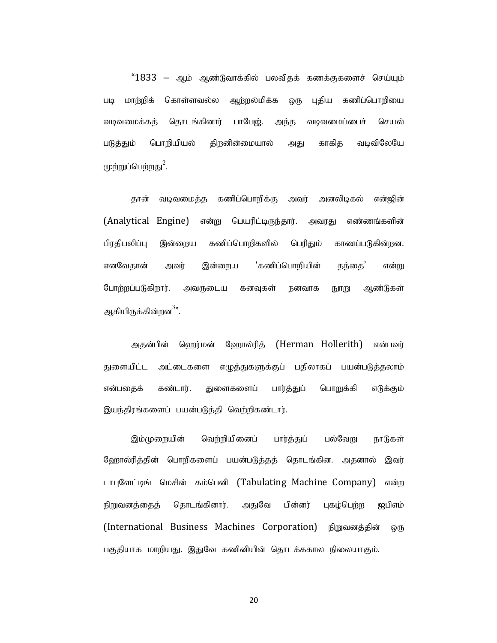$"1833 -$  ஆம் ஆண்டுவாக்கில் பலவிதக் கணக்குகளைச் செய்யும் படி மாற்றிக் கொள்ளவல்ல ஆற்றல்மிக்க ஒரு புதிய கணிப்பொறியை வடிவமைக்கத் தொடங்கினார் பாபேஜ். அந்த வடிவமைப்பைச் செயல் படுத்தும் பொறியியல் திறனின்மையால் அது காகித வடிவிலேயே முற்றுப்பெற்றது $^2$ . பெற்றது´.<br>தான் வடிவமைத்த கணிப்பொறிக்கு அவர் அனலிடிகல் என்ஜின்

(Analytical Engine) என்று பெயரிட்டிருந்தார். அவரது எண்ணங்களின் பிரதிபலிப்பு இன்றைய கணிப்பொறிகளில் பெரிதும் காணப்படுகின்றன. எனவேதான் அவர் இன்றைய 'கணிப்பொறியின் தந்தை' என்<u>று</u> போற்றப்படுகிறார். அவருடைய கனவுகள் நனவாக நூறு ஆண்டுகள் அகியிருக்கின்றன<sup>3</sup>". நக்கின்றன<sup>்</sup>".<br>அதன்பின் ஹெர்மன் ஹோல்ரித் (Herman Hollerith) என்பவர்

துளையிட்ட அட்டைகளை எழுத்துகளுக்குப் பதிலாகப் பயன்படுத்தலாம் என்பதைக் கண்டார். துளைகளைப் பார்த்துப் பொறுக்கி எடுக்கும் இயந்திரங்களைப் பயன்படுத்தி வெற்றிகண்டார்.

இம்முறையின் வெற்றியினைப் பார்த்துப் பல்வேறு நாடுகள் ஹோல்ரித்தின் பொறிகளைப் பயன்படுத்தத் தொடங்கின. அதனால் இவர் டாபுளேட்டிங் மெசின் கம்பெனி (Tabulating Machine Company) என்ற நிறுவனத்தைத் தொடங்கினார். அதுவே பின்னர் புகழ்பெற்ற ஐபிஎம் (International Business Machines Corporation) நிறுவனத்தின் ஒரு பகுதியாக மாறியது. இதுவே கணினியின் தொடக்ககால நிலையாகும்.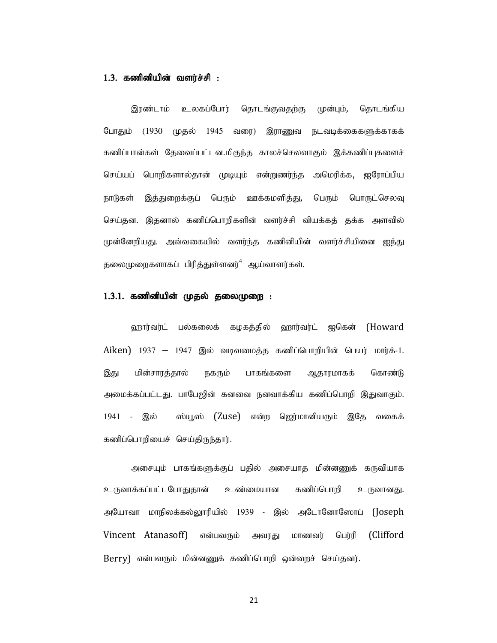1.3. fzpdpapd; tsu;r;rp : ,uz;lhk; cyfg;Nghu; njhlq;Ftjw;F Kd;Gk;, njhlq;fpa போதும் (1930 முதல் 1945 வரை) இராணுவ நடவடிக்கைகளுக்காகக் கணிப்பான்கள் தேவைப்பட்டன.மிகுந்த காலச்செலவாகும் இக்கணிப்புகளைச் செய்யப் பொறிகளால்தான் முடியும் என்றுணர்ந்த அமெரிக்க, ஐரோப்பிய நாடுகள் இத்துறைக்குப் பெரும் ஊக்கமளித்து, பெரும் பொருட்செலவு செய்தன. இதனால் கணிப்பொறிகளின் வளர்ச்சி வியக்கக் தக்க அளவில் முன்னேறியது. அவ்வகையில் வளர்ந்த கணினியின் வளர்ச்சியினை ஐந்து தலைமுறைகளாகப் பிரித்துள்ளனர் $^4$  ஆய்வாளர்கள்.

#### $1.3.1.$  கணினியின் முதல் தலைமுறை :

வரார்வர்ட் பல்கலைக் கழகத்தில் வரார்வர்ட் ஐகென் (Howard  $Aiken$ ) 1937 – 1947 இல் வடிவமைத்த கணிப்பொறியின் பெயர் மார்க்-1. இது மின்சாரத்தால் நகரும் பாகங்களை ஆதாரமாகக் கொண்டு அமைக்கப்பட்டது. பாபேஜின் கனவை நனவாக்கிய கணிப்பொறி இதுவாகும். 1941 - இல் ஸ்யூஸ் (Zuse) என்ற ஜெர்மானியரும் இதே வகைக் கணிப்பொறியைச் செய்திருந்தார்.

அசையும் பாகங்களுக்குப் பதில் அசையாத மின்னணுக் கருவியாக உருவாக்கப்பட்டபோதுதான் உண்மையான கணிப்பொறி உருவானது. அயோவா மாநிலக்கல்லூரியில் 1939 - இல் அடோனோஸோப் (Joseph Vincent Atanasoff) என்பவரும் அவரது மாணவர் பெர்ரி (Clifford Berry) என்பவரும் மின்னணுக் கணிப்பொறி ஒன்றைச் செய்தனர்.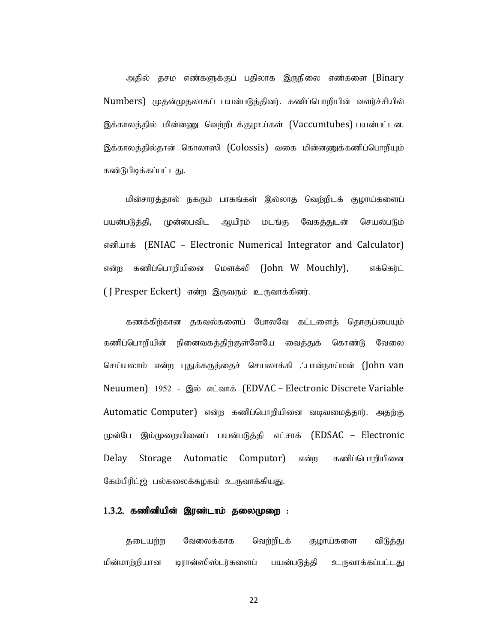அதில் தசம எண்களுக்குப் பதிலாக இருநிலை எண்களை (Binary Numbers) முதன்முதலாகப் பயன்படுத்தினர். கணிப்பொறியின் வளர்ச்சியில் இக்காலத்தில் மின்னணு வெற்றிடக்குழாய்கள் (Vaccumtubes) பயன்பட்டன. இக்காலத்தில்தான் கொலாஸி (Colossis) வகை மின்னணுக்கணிப்பொறியும் கண்டுபிடிக்கப்பட்டது.

மின்சாரத்தால் நகரும் பாகங்கள் இல்லாத வெற்றிடக் குழாய்களைப் பயன்படுத்தி, முன்பைவிட ஆயிரம் மடங்கு வேகத்துடன் செயல்படும் எனியாக் (ENIAC – Electronic Numerical Integrator and Calculator) என்ற கணிப்பொறியினை மௌக்லி (John W Mouchly), எக்கெர்ட் ( J Presper Eckert) என்ற இருவரும் உருவாக்கினர்.

கணக்கிற்கான தகவல்களைப் போலவே கட்டளைத் தொகுப்பையும் கணிப்பொறியின் நினைவகத்திற்குள்ளேயே வைத்துக் கொண்டு வேலை செய்யலாம் என்ற புதுக்கருத்தைச் செயலாக்கி ∴பான்நாய்மன் (John van Neuumen) 1952 - இல் எட்வாக் (EDVAC – Electronic Discrete Variable Automatic Computer) என்ற கணிப்பொறியினை வடிவமைத்தார். அதற்கு முன்பே இம்முறையினைப் பயன்படுத்தி எட்சாக் (EDSAC – Electronic Delay Storage Automatic Computor) என்ற கணிப்பொறியினை கேம்பிரிட்ஜ் பல்கலைக்கழகம் உருவாக்கியது.

#### $1.3.2$ . கணினியின் இரண்டாம் தலைமுறை :

தடையற்ற வேலைக்காக வெற்றிடக் குழாய்களை விடுத்து மின்மாற்றியான டிரான்ஸிஸ்டர்களைப் பயன்படுத்தி உருவாக்கப்பட்டது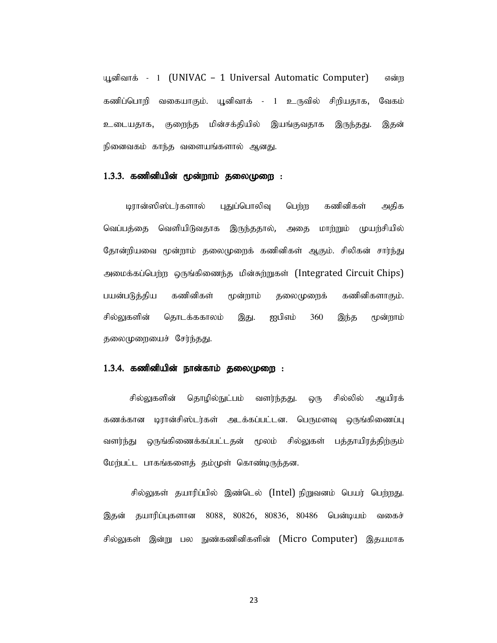யூனிவாக் - 1 (UNIVAC – 1 Universal Automatic Computer) என்ற கணிப்பொறி வகையாகும். யூனிவாக் - 1 உருவில் சிறியதாக, வேகம் உடையதாக, குறைந்த மின்சக்தியில் இயங்குவதாக இருந்தது. இதன் நினைவகம் காந்த வளையங்களால் ஆனது.

#### $1.3.3.$  கணினியின் மூன்றாம் தலைமுறை :

டிரான்ஸிஸ்டர்களால் புதுப்பொலிவு பெற்ற கணினிகள் அதிக வெப்பத்தை வெளியிடுவதாக இருந்ததால், அதை மாற்றும் முயற்சியில் தோன்றியவை மூன்றாம் தலைமுறைக் கணினிகள் ஆகும். சிலிகன் சார்ந்து அமைக்கப்பெற்ற ஒருங்கிணைந்த மின்சுற்றுகள் (Integrated Circuit Chips) பயன்படுத்திய கணினிகள் மூன்றாம் தலைமுறைக் கணினிகளாகும். சில்லுகளின் தொடக்ககாலம் இது. ஐபிஎம் 360 இந்த மூன்றாம் தலைமுறையைச் சேர்ந்தது.

#### $1.3.4$ . கணினியின் நான்காம் தலைமுறை :

சில்லுகளின் தொழில்நுட்பம் வளர்ந்தது. ஒரு சில்லில் ஆயிரக் கணக்கான டிரான்சிஸ்டர்கள் அடக்கப்பட்டன. பெருமளவு ஒருங்கிணைப்பு வளர்ந்து ஒருங்கிணைக்கப்பட்டதன் மூலம் சில்லுகள் பத்தாயிரத்திற்கும் மேற்பட்ட பாகங்களைத் தம்முள் கொண்டிருந்தன.

சில்லுகள் தயாரிப்பில் இண்டெல் (Intel) நிறுவனம் பெயர் பெற்றது. இதன் தயாரிப்புகளான 8088, 80826, 80836, 80486 பென்டியம் வகைச் சில்லுகள் இன்று பல நுண்கணினிகளின் (Micro Computer) இதயமாக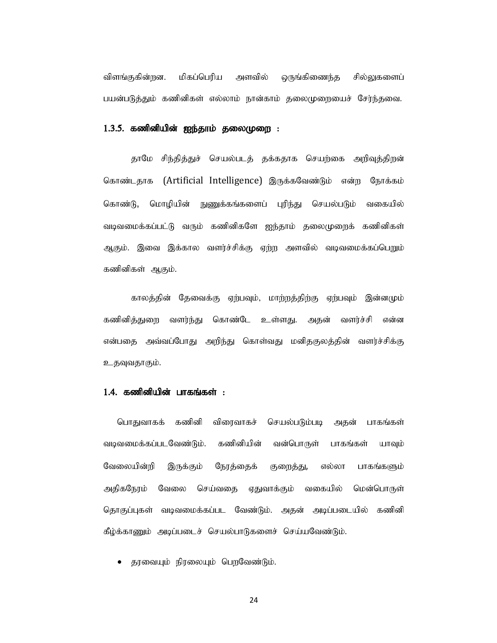விளங்குகின்றன. மிகப்பெரிய அளவில் ஒருங்கிணைந்த சில்லுகளைப் பயன்படுத்தும் கணினிகள் எல்லாம் நான்காம் தலைமுறையைச் சேர்ந்தவை.

**1.3.5. கணினியின் ஐந்தாம் தலைமுறை :**<br>தாமே சிந்தித்துச் செயல்படத் தக்கதாக செயற்கை அறிவுத்திறன் கொண்டதாக (Artificial Intelligence) இருக்கவேண்டும் என்ற நோக்கம் கொண்டு, மொழியின் நுணுக்கங்களைப் புரிந்து செயல்படும் வகையில் வடிவமைக்கப்பட்டு வரும் கணினிகளே ஐந்தாம் தலைமுறைக் கணினிகள் ஆகும். இவை இக்கால வளர்ச்சிக்கு ஏற்ற அளவில் வடிவமைக்கப்பெறும் கணினிகள் ஆகும்.

காலத்தின் தேவைக்கு ஏற்பவும், மாற்றத்திற்கு ஏற்பவும் இன்னமும் கணினித்துறை வளர்ந்து கொண்டே உள்ளது. அதன் வளர்ச்சி என்ன என்பதை அவ்வப்போது அறிந்து கொள்வது மனிதகுலத்தின் வளர்ச்சிக்கு உதவுவதாகும்.

#### $1.4.$  கணினியின் பாகங்கள் :

பொதுவாகக் கணினி விரைவாகச் செயல்படும்படி அகன் பாகங்கள் வடிவமைக்கப்படவேண்டும். கணினியின் வன்பொருள் பாகங்கள் யாவும் வேலையின்றி இருக்கும் நேரத்தைக் குறைத்து, எல்லா பாகங்களும் அதிகநேரம் வேலை செய்வதை ஏதுவாக்கும் வகையில் மென்பொருள் தொகுப்புகள் வடிவமைக்கப்பட வேண்டும். அதன் அடிப்படையில் கணினி என்பதை அவ்வப்போது அறிந்து கொள்வது மனிதகுலத்தின் வளர்ச்சிக்கு<br>உதவுவதாகும்.<br>உதவுவதாகும்.<br>பொதுவாகக் கணினி விரைவாகச் செயல்படும்படி அதன் பாகங்கக்<br>வடிவமைக்கப்படவேண்டும். கணினியின் வன்பொருள் பாகங்கள் யாவு!<br>வேலையின்றி இருக்கும் ந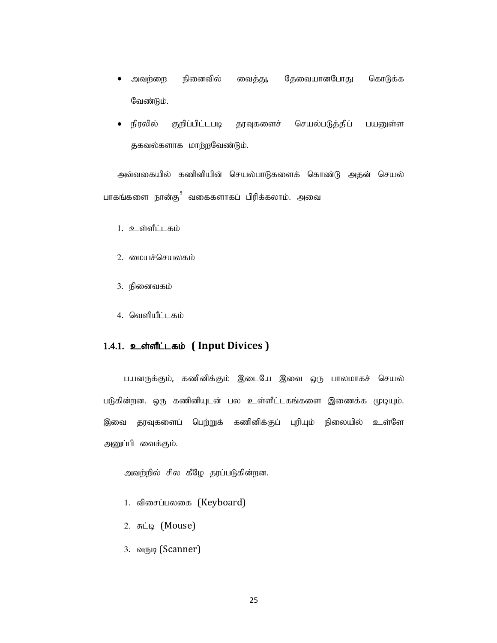- அவற்றை நினைவில் வைத்து, தேவையானபோது கொடுக்க  $\bullet$ வேண்டும்.
- நிரலில் குறிப்பிட்டபடி தரவுகளைச் செயல்படுத்திப் பயனுள்ள தகவல்களாக மாற்றவேண்டும். • நிரலில் குறிப்பிட்டபடி தரவுகளைச் செயல்படுத்திப் பயனுள்ள<br>தகவல்களாக மாற்றவேண்டும்.<br>அவ்வகையில் கணினியின் செயல்பாடுகளைக் கொண்டு அதன் செயல்<br>நங்களை நான்கு<sup>5</sup> வகைகளாகப் பிரிக்கலாம். அவை<br>1. உள்ளீட்டகம்<br>3. நினைவகம்<br>4. வெளியிட்டக

அவ்வகையில் கணினியின் செயல்பாடுகளைக் கொண்டு அதன் செயல் பாகங்களை நான்கு $^5$  வகைகளாகப் பிரிக்கலாம். அவை

- 1. உள்ளீட்டகம்
- 2. மையச்செயலகம்
- 3. நினைவகம்
- 

### 1.4.1. உள்ளீட்டகம் (Input Divices)

பயனருக்கும், கணினிக்கும் இடையே இவை ஒரு பாலமாகச் செயல் படுகின்றன. ஒரு கணினியுடன் பல உள்ளீட்டகங்களை இணைக்க முடியும். இவை தரவுகளைப் பெற்றுக் கணினிக்குப் புரியும் நிலையில் உள்ளே அனுப்பி வைக்கும். நினைவகம்<br>**உள்ளீட்டகம் ( Input Divices )**<br>பயனருக்கும், கணினிக்கும் இடையே இவை ஒரு பாலமாகச் செயல்<br>ன்றன. ஒரு கணினியுடன் பல உள்ளீட்டகங்களை இணைக்க முடியும்.<br>சுருடிகளைப் பெற்றுக் கணினிக்குப் புரியும் நிலையில் உள்ளே<br>"பி வைக்கும்.

- 1. விசைப்பலகை (Keyboard)
- 2. சுட்டி (Mouse)
- 3. du(1514 (Scanner)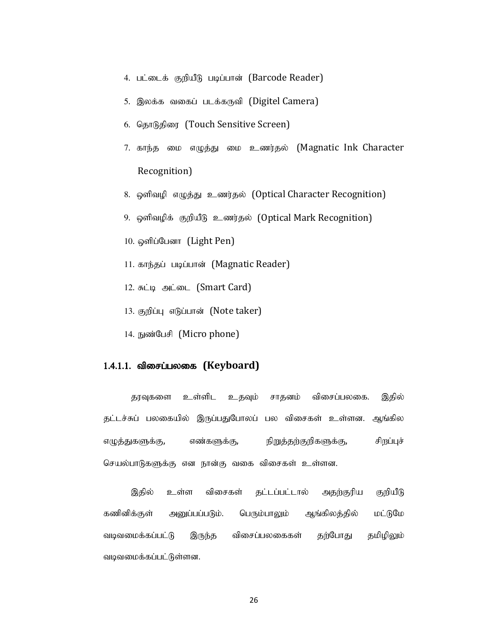- 4. பட்டைக் குறியீடு படிப்பான் (Barcode Reader)<br>5. இலக்க வகைப் படக்கருவி (Digitel Camera)<br>6. தொடுதிரை (Touch Sensitive Screen)
- 5. இலக்க வகைப் படக்கருவி (Digitel Camera)
- 6. தொடுதிரை (Touch Sensitive Screen)
- 7. காந்த மை எழுத்து மை உணர்தல் (Magnatic Ink Character Recognition) 4. பட்டைக் குறியீடு படிப்பான் (Barcode Reader)<br>5. இலக்க வகைப் படக்கருவி (Digitel Camera)<br>6. தொடுதிரை (Touch Sensitive Screen)<br>7. காந்த மை எழுத்து மை உணர்தல் (Magnatic Ink Characte<br>Recognition)<br>8. ஒளிவழி எழுத்து உணர்தல் (O 4. பட்டைக் குறியீடு படிப்பான் (Barcode Reader)<br>5. இலக்க வகைப் படக்கருவி (Digitel Camera)<br>6. தொடுதிரை (Touch Sensitive Screen)<br>7. காந்த மை எழுத்து மை உணர்தல் (Magnatic Ink Characte:<br>Recognition)<br>8. ஒளிவழிக் குறியீடு உணர்தல 5. இலக்க வகைப் படக்கருவி (Digitel Camera)<br>6. தொடுதிரை (Touch Sensitive Screen)<br>7. காந்த மை எழுத்து மை உணர்தல் (Magnatic Ink Characte<br>Recognition)<br>8. ஒளிவழி எழுத்து உணர்தல் (Optical Character Recognition)<br>9. ஒளிவழிக் குறிய ் பிரை (Touch Sensitive Screen)<br>7. காந்த மை எழுத்து மை உணர்தல் (Magnatic Ink Character<br>Recognition)<br>8. ஒளிவழி எழுத்து உணர்தல் (Optical Character Recognition)<br>9. ஒளிவழிக் குறியீடு உணர்தல் (Optical Mark Recognition)<br>10. ஒளி 7. காந்த மை எழுத்து மை உணர்தல் (Magnatic Ink Character<br>Recognition)<br>8. ஒளிவழிக் குறியீடு உணர்தல் (Optical Character Recognition)<br>9. ஒளிவழிக் குறியீடு உணர்தல் (Optical Mark Recognition)<br>10. ஒளிப்பேனா (Light Pen)<br>11. காந்தப
- 8. ஒளிவழி எழுத்து உணர்தல் (Optical Character Recognition)
- 9. ஒளிவழிக் குறியீடு உணர்தல் (Optical Mark Recognition)
- 
- 
- 
- 
- 

#### $1.4.1.1.$  விசைப்பலகை (Keyboard)

தரவுகளை உள்ளிட உதவும் சாதனம் விசைப்பலகை. இதில் தட்டச்சுப் பலகையில் இருப்பதுபோலப் பல விசைகள் உள்ளன. ஆங்கில எழுத்துகளுக்கு, எண்களுக்கு, நிறுத்தற்குறிகளுக்கு, சிறப்புச் செயல்பாடுகளுக்கு என நான்கு வகை விசைகள் உள்ளன. , சுட்டி அடடை (Smart Card)<br>), குறிப்பு எடுப்பான் (Note taker)<br>- நுண்டேயி (Micro phone)<br>தரவுகளை உள்ளிட உதவும் சாதனம் விசைப்பலகை. இதில்<br>மீப் பலகைபில் இருப்பதுபோலப் பல விசைகள் உள்ளன. ஆங்கில<br>முருக்கு, எண்களுக்கு, - நிறுத்தற்க

கணினிக்குள் அனுப்பப்படும். பெரும்பாலும் ஆங்கிலத்தில் மட்டுமே வடிவமைக்கப்பட்டு இருந்த விசைப்பலகைகள் தற்போது தமிழிலும் வடிவமைக்கப்பட்டுள்ளன.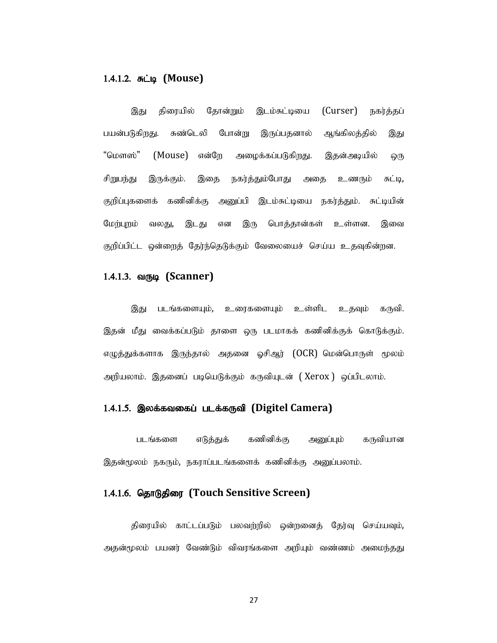#### 1.4.1.2.  $\pi$  (Mouse)

இது திரையில் தோன்றும் இடம்சுட்டியை (Curser) நகர்த்தப் பயன்படுகிறது. சுண்டெலி போன்று இருப்பதனால் ஆங்கிலத்தில் இது "மௌஸ்" (Mouse) என்றே அழைக்கப்படுகிறது. இதன்அடியில் ஒரு சிறுபந்து இருக்கும். இதை நகர்த்தும்போது அதை உணரும் சுட்டி, குறிப்புகளைக் கணினிக்கு அனுப்பி இடம்சுட்டியை நகர்த்தும். சுட்டியின் மேற்புறம் வலது, இடது என இரு பொத்தான்கள் உள்ளன. இவை குறிப்பிட்ட ஒன்றைத் தேர்ந்தெடுக்கும் வேலையைச் செய்ய உதவுகின்றன.

#### 1.4.1.3. வருடி (Scanner)

இது படங்களையும், உரைகளையும் உள்ளிட உதவும் கருவி. இதன் மீது வைக்கப்படும் தாளை ஒரு படமாகக் கணினிக்குக் கொடுக்கும்.<br>எழுத்துக்களாக இருந்தால் அதனை ஓசிஆர் (OCR) மென்பொருள் மூலம் அறியலாம். இதனைப் படியெடுக்கும் கருவியுடன் (Xerox ) ஒப்பிடலாம்.

#### 1.4.1.5. இலக்கவகைப் படக்கருவி (Digitel Camera)

படங்களை எடுத்துக் கணினிக்கு அனுப்பும் கருவியான இதன்மூலம் நகரும், நகராப்படங்களைக் கணினிக்கு அனுப்பலாம்.

#### 1.4.1.6. தொடுதிரை (Touch Sensitive Screen)

திரையில் காட்டப்படும் பலவற்றில் ஒன்றனைத் தேர்வு செய்யவும், அதன்மூலம் பயனர் வேண்டும் விவரங்களை அறியும் வண்ணம் அமைந்தது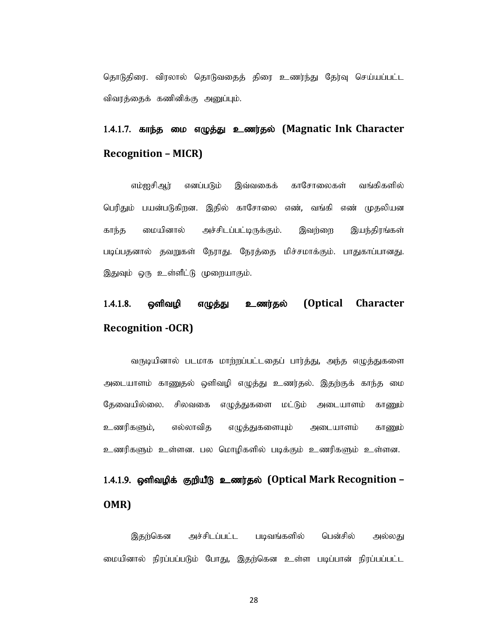தொடுதிரை, விரலால் தொடுவதைத் திரை உணர்ந்து தேர்வு செய்யப்பட்ட விவரத்தைக் கணினிக்கு அனுப்பும்.

# 1.4.1.7. காந்த மை எழுத்து உணர்தல் (Magnatic Ink Character Recognition – MICR)

எம்ஐசிஅர் எனப்படும் இவ்வகைக் காசோலைகள் வங்கிகளில் பெரிதும் பயன்படுகிறன. இதில் காசோலை எண், வங்கி எண் முதலியன காந்த மையினால் அச்சிடப்பட்டிருக்கும். இவற்றை இயந்திரங்கள் படிப்பதனால் தவறுகள் நேராது. நேரத்தை மிச்சமாக்கும். பாதுகாப்பானது. இதுவும் ஒரு உள்ளீட்டு முறையாகும்.

# 1.4.1.8. ஒளிவழி எழுத்து உணர்தல் (Optical Character Recognition -OCR)

வருடியினால் படமாக மாற்றப்பட்டதைப் பார்த்து, அந்த எழுத்துகளை அடையாளம் காணுதல் ஒளிவழி எழுத்து உணர்தல். இதற்குக் காந்த மை தேவையில்லை. சிலவகை எழுத்துகளை மட்டும் அடையாளம் காணும் உணரிகளும், எல்லாவித எழுத்துகளையும் அடையாளம் காணும் உணரிகளும் உள்ளன. பல மொழிகளில் படிக்கும் உணரிகளும் உள்ளன.

# 1.4.1.9. ஒளிவழிக் குறியீடு உணர்தல் (Optical Mark Recognition – OMR)

இதற்கென அச்சிடப்பட்ட படிவங்களில் பென்சில் அல்லது மையினால் நிரப்பப்படும் போது, இதற்கென உள்ள படிப்பான் நிரப்பப்பட்ட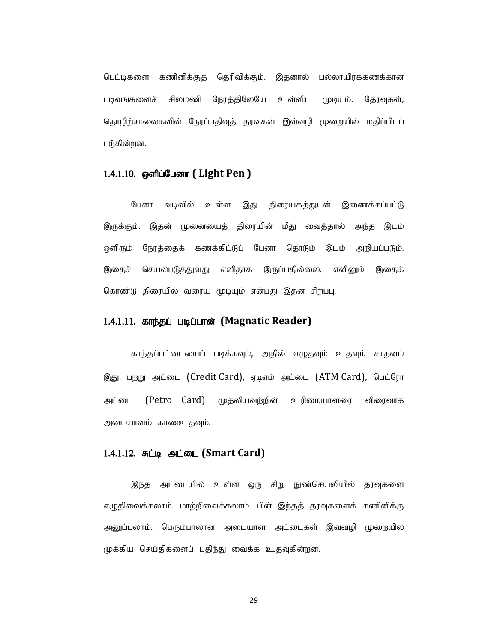பெட்டிகளை கணினிக்குத் தெரிவிக்கும். இதனால் பல்லாயிரக்கணக்கான படிவங்களைச் சிலமணி நேரத்திலேயே உள்ளிட முடியும். தேர்வுகள், தொழிற்சாலைகளில் நேரப்பதிவுத் தரவுகள் இவ்வழி முறையில் மதிப்பிடப் படுகின்றன.

#### 1.4.1.10. ஒளிப்பேனா ( Light Pen )

பேனா வடிவில் உள்ள இது திரையகத்துடன் இணைக்கப்பட்டு பெட்டிகளை கணினிக்குத் தெரிவிக்கும். இதனால் பல்லாயிரக்கணக்கான<br>படிவங்களைச் சிலமணி நேரப்பதிவுத் தரவுகள் இவ்வழி முறையில் மதிப்பிடப்<br>தொழிற்சாலைகளில் நேரப்பதிவுத் தரவுகள் இவ்வழி முறையில் மதிப்பிடப்<br>1.4.1.10. **ஒளிப்பேனா ( Light** ஒளிரும் நேரத்தைக் கணக்கிட்டுப் பேனா தொடும் இடம் அறியப்படும். இதைச் செயல்படுத்துவது எளிதாக இருப்பதில்லை. எனினும் இதைக் கொண்டு திரையில் வரைய முடியும் என்பது இதன் சிறப்பு.

#### 1.4.1.11. காந்தப் படிப்பான் (Magnatic Reader)

காந்தப்பட்டையைப் படிக்கவும், அதில் எழுதவும் உதவும் சாதனம் இது. பற்று அட்டை (Credit Card), ஏடிஎம் அட்டை (ATM Card), பெட்ரோ அட்டை (Petro Card) முதலியவற்றின் உரிமையாளரை விரைவாக அடையாளம் காணஉதவும்.

#### 1.4.1.12. சுட்டி அட்டை (Smart Card)

இந்த அட்டையில் உள்ள ஒரு சிறு நுண்செயலியில் தரவுகளை எழுதிவைக்கலாம். மாற்றிவைக்கலாம். பின் இந்தத் தரவுகளைக் கணினிக்கு அனுப்பலாம். பெரும்பாலான அடையாள அட்டைகள் இவ்வழி முறையில் முக்கிய செய்திகளைப் பதிந்து வைக்க உதவுகின்றன.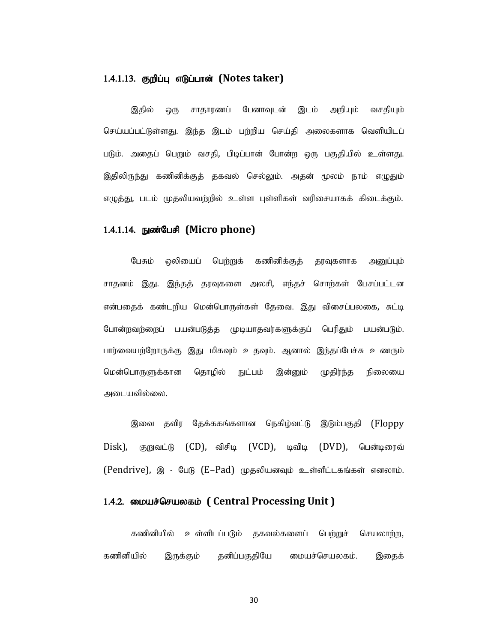#### 1.4.1.13. குறிப்பு எடுப்பான் (Notes taker)

இதில் ஒரு சாதாரணப் பேனாவுடன் இடம் அறியும் வசதியும் செய்யப்பட்டுள்ளது. இந்த இடம் பற்றிய செய்தி அலைகளாக வெளியிடப் படும். அதைப் பெறும் வசதி, பிடிப்பான் போன்ற ஒரு பகுதியில் உள்ளது. இதிலிருந்து கணினிக்குத் தகவல் செல்லும். அதன் மூலம் நாம் எழுதும் எழுத்து, படம் முதலியவற்றில் உள்ள புள்ளிகள் வரிசையாகக் கிடைக்கும்.

#### 1.4.1.14. நுண்பேசி (Micro phone)

பேசும் ஒலியைப் பெற்றுக் கணினிக்குத் தரவுகளாக அனுப்பும் சாதனம் இது. இந்தத் தரவுகளை அலசி, எந்தச் சொற்கள் பேசப்பட்டன என்பதைக் கண்டறிய மென்பொருள்கள் தேவை. இது விசைப்பலகை, சுட்டி போன்றவற்றைப் பயன்படுத்த முடியாதவர்களுக்குப் பெரிதும் பயன்படும். பார்வையற்றோருக்கு இது மிகவும் உதவும். ஆனால் இந்தப்பேச்சு உணரும் மென்பொருளுக்கான தொழில் நுட்பம் இன்னும் முதிர்ந்த நிலையை அடையவில்லை.

இவை தவிர தேக்ககங்களான நெகிழ்வட்டு இடும்பகுதி (Floppy  $Disk)$ , குறுவட்டு (CD), விசிடி (VCD), டிவிடி (DVD), பென்டிரைவ்  $(Pendrive)$ , இ - பேடு  $(E-Pad)$  முதலியனவும் உள்ளீட்டகங்கள் எனலாம்.

#### 1.4.2. மையச்செயலகம் ( Central Processing Unit )

கணினியில் உள்ளிடப்படும் தகவல்களைப் பெற்றுச் செயலாற்ற, கணினியில் இருக்கும் தனிப்பகுதியே மையச்செயலகம். இதைக்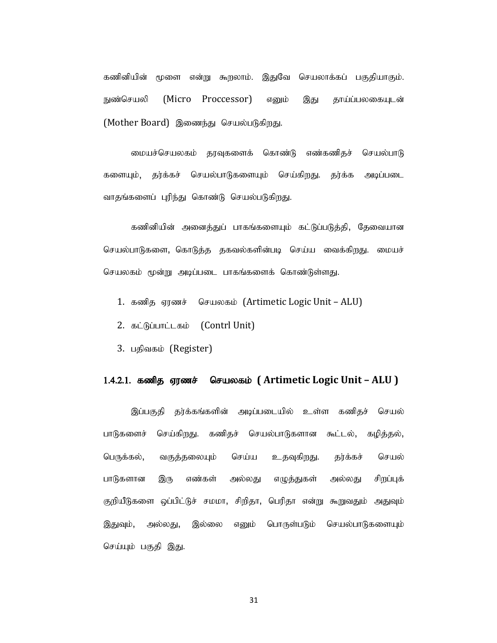கணினியின் மூளை என்று கூறலாம். இதுவே செயலாக்கப் பகுதியாகும். நுண்செயலி (Micro Proccessor) எனும் இது தாய்ப்பலகையுடன் (Mother Board) இணைந்து செயல்படுகிறது.

மையச்செயலகம் தரவுகளைக் கொண்டு எண்கணிதச் செயல்பாடு களையும், தர்க்கச் செயல்பாடுகளையும் செய்கிறது. தர்க்க அடிப்படை வாதங்களைப் புரிந்து கொண்டு செயல்படுகிறது.

கணினியின் அனைத்துப் பாகங்களையும் கட்டுப்படுத்தி, தேவையான செயல்பாடுகளை, கொடுத்த தகவல்களின்படி செய்ய வைக்கிறது. மையச் செயலகம் மூன்று அடிப்படை பாகங்களைக் கொண்டுள்ளது.

- 1. கணித ஏரணச் செயலகம் (Artimetic Logic Unit ALU)
- 2. கட்டுப்பாட்டகம் (Contrl Unit)
- 3. பதிவகம் (Register)

#### 1.4.2.1. கணித ஏரணச் செயலகம் (Artimetic Logic Unit – ALU )

இப்பகுதி தர்க்கங்களின் அடிப்படையில் உள்ள கணிதச் செயல் பாடுகளைச் செய்கிறது. கணிதச் செயல்பாடுகளான கூட்டல், கழித்தல், பெருக்கல், வகுத்தலையும் செய்ய உதவுகிறது. தர்க்கச் செயல் பாடுகளான இரு எண்கள் அல்லது எழுத்துகள் அல்லது சிறப்புக் 1. கணித ஏரணச் செயலகம் (Artimetic Logic Unit – ALU)<br>2. கட்டுப்பாட்டகம் (Contrl Unit)<br>3. பதிலகம் (Register)<br>1.4.2.1. **கணித ஏரணச் செயலகம் (Artimetic Logic Unit – ALU)**<br>இப்பகுதி தர்க்கங்களின் அடிப்படையில் உள்ள கணிதச் செயல்<br>பா இதுவும், அல்லது, இல்லை எனும் பொருள்படும் செயல்பாடுகளையும் செய்யும் பகுதி இது.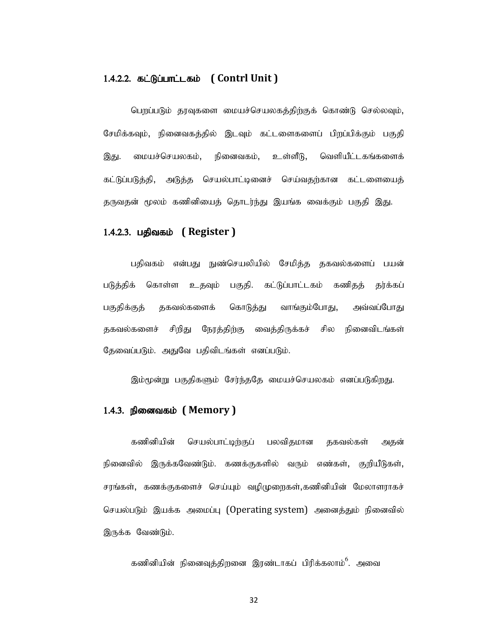#### 1.4.2.2. கட்டுப்பாட்டகம் ( Contrl Unit )

பெறப்படும் தரவுகளை மையச்செயலகத்திற்குக் கொண்டு செல்லவும், சேமிக்கவும், நினைவகத்தில் இடவும் கட்டளைகளைப் பிறப்பிக்கும் பகுதி 1.4.2.2. **கட்டுப்பாட்டகம் ( Contrl Unit )**<br>பெறப்படும் தரவுகளை மையச்செயலகத்திற்குக் கொண்டு செல்லவும்,<br>சேமிக்கவும், நினைவகத்தில் இடவும் கட்டளைகளைப் பிறப்பிக்கும் பகுதி<br>இது. மையச்செயலகம், நினைவகம், உள்ளீடு, வெளியீட்டகங்களைக் கட்டுப்படுத்தி, அடுத்த செயல்பாட்டினைச் செய்வதற்கான கட்டளையைத் தருவதன் மூலம் கணினியைத் தொடர்ந்து இயங்க வைக்கும் பகுதி இது.

#### $1.4.2.3.$  பதிவகம் (Register)

பதிவகம் என்பது நுண்செயலியில் சேமித்த தகவல்களைப் பயன் படுத்திக் கொள்ள உதவும் பகுதி. கட்டுப்பாட்டகம் கணிதத் தர்க்கப் பகுதிக்குத் தகவல்களைக் கொடுத்து வாங்கும்போது, அவ்வப்போது தகவல்களைச் சிறிது நேரத்திற்கு வைத்திருக்கச் சில நினைவிடங்கள் தேவைப்படும். அதுவே பதிவிடங்கள் எனப்படும். படுத்திக் கொள்ள உதவும் பகுதி. கட்டுப்பாட்டகம் கணிதத் தர்க்கப்<br>படுத்திக் கொள்ள உதவும் பகுதி. கட்டுப்பாட்டகம் கணிதத் தர்க்கப்<br>பகுதிக்குத் தகவல்களைக் கொடுத்து வாங்கும்போது, அவ்வப்போது<br>தகவல்களைச் சிறீது நேரத்திற்கு வைத்திருக்

இம்மூன்று பகுதிகளும் சேர்ந்ததே மையச்செயலகம் எனப்படுகிறது.

#### 1.4.3. நினைவகம் ( Memory )

கணினியின் செயல்பாட்டிற்குப் பலவிதமான தகவல்கள் அதன் செயல்படும் இயக்க அமைப்பு (Operating system) அனைத்தும் நினைவில் இருக்க வேண்டும்.

கணினியின் நினைவுத்திறனை இரண்டாகப் பிரிக்கலாம் $^6$ . அவை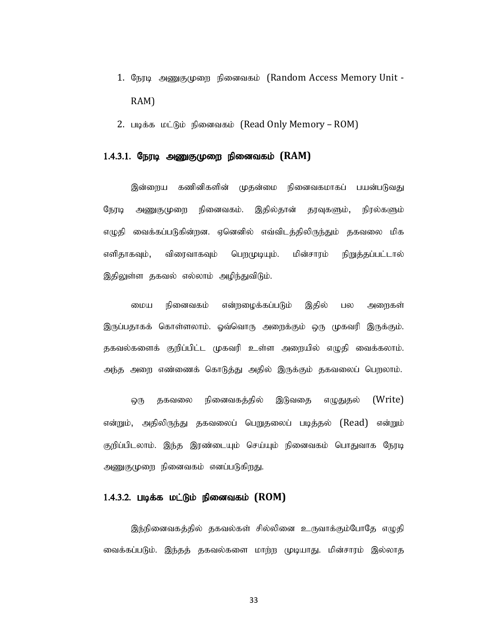- 1. நேரடி அணுகுமுறை நினைவகம் (Random Access Memory Unit -RAM)
- 2. படிக்க மட்டும் நினைவகம் (Read Only Memory ROM)

#### $1.4.3.1.$  நேரடி அணுகுமுறை நினைவகம்  $(RAM)$

இன்றைய கணினிகளின் முதன்மை நினைவகமாகப் பயன்படுவது நேரடி அணுகுமுறை நினைவகம். இதில்தான் தரவுகளும், நிரல்களும் எழுதி வைக்கப்படுகின்றன. ஏனெனில் எவ்விடத்திலிருந்தும் தகவலை மிக எளிதாகவும், விரைவாகவும் பெறமுடியும். மின்சாரம் நிறுத்தப்பட்டால் இதிலுள்ள தகவல் எல்லாம் அழிந்துவிடும்.

மைய நினைவகம் என்றழைக்கப்படும் இதில் பல அறைகள் இருப்பதாகக் கொள்ளலாம். ஓவ்வொரு அறைக்கும் ஒரு முகவரி இருக்கும். தகவல்களைக் குறிப்பிட்ட முகவரி உள்ள அறையில் எழுதி வைக்கலாம். அந்த அறை எண்ணைக் கொடுத்து அதில் இருக்கும் தகவலைப் பெறலாம்.

ஒரு தகவலை நினைவகத்தில் இடுவதை எழுதுதல் (Write) என்றும், அதிலிருந்து தகவலைப் பெறுதலைப் படித்தல் (Read) என்றும் குறிப்பிடலாம். இந்த இரண்டையும் செய்யும் நினைவகம் பொதுவாக நேரடி அணுகுமுறை நினைவகம் எனப்படுகிறது.

#### $1.4.3.2$ . படிக்க மட்டும் நினைவகம்  $(ROM)$

இந்நினைவகத்தில் தகவல்கள் சில்லினை உருவாக்கும்போதே எழுதி வைக்கப்படும். இந்தத் தகவல்களை மாற்ற முடியாது. மின்சாரம் இல்லாத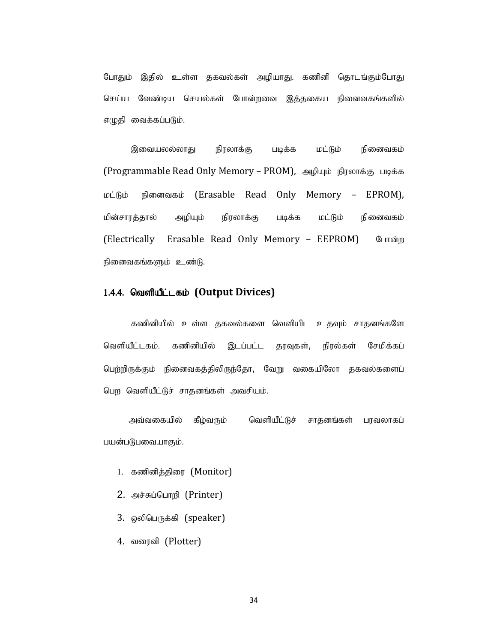போதும் இதில் உள்ள தகவல்கள் அமியாது. கணினி தொடங்கும்போது செய்ய வேண்டிய செயல்கள் போன்றவை இத்தகைய நினைவகங்களில் எழுதி வைக்கப்படும்.

இவையலல்லாது நிரலாக்கு படிக்க மட்டும் நினைவகம் (Programmable Read Only Memory – PROM), அழியும் நிரலாக்கு படிக்க  $L$ மின்சாரத்தால் அழியும் நிரலாக்கு படிக்க மட்டும் நினைவகம் (Electrically Erasable Read Only Memory – EEPROM) போன்ற நினைவகங்களும் உண்டு. இவையலல்லாது நிரலாக்கு படிக்க மட்டும் நினைவகம்<br>(Programmable Read Only Memory – PROM), அழியும் நிரலாக்கு படிக்க<br>மட்டும் நினைவகம் (Erasable Read Only Memory – EPROM),<br>மின்சாரத்தால் அழியும் நிரலாக்கு படிக்க மட்டும் நினைவகம்<br> மட்டும் நினைவகம் (Erasable Read Only Memory – EPROM),<br>மின்சாரத்தால் அழியும் நிரலாக்கு படிக்க மட்டும் நினைவகம்<br>(Electrically Erasable Read Only Memory – EEPROM) போன்ற<br>நினைவகங்களும் உண்டு.<br>1.4.4 **வெளியீட்டகம் (Output Divice** 

#### 1.4.4. வெளியீட்டகம் (Output Divices)

கணினியில் உள்ள தகவல்களை வெளியிட உதவும் சாதனங்களே பெற்றிருக்கும் நினைவகத்திலிருந்தோ, வேறு வகையிலோ தகவல்களைப் 4. **வெளியீட்டகம் (Output Divices)**<br>கணினியில் உள்ள தகவல்களை வெளியிட உதவும் சாதனங்களே<br>ளியீட்டகம். கணினியில் இடப்பட்ட தரவுகள், நிரல்கள் சேமிக்க<br>ந்றிருக்கும் நினைவகத்திலிருந்தோ, வேறு வகையிலோ தகவல்களை<br>ந வெளியீட்டுச் சாதனங்கள்

அவ்வகையில் கீழ்வரும் வெளியீட்டுச் சாதனங்கள் பரவலாகப் பயன்படுபவையாகும்.

- 
- 2. அச்சுப்பொறி (Printer)
- 3. ஒலிபெருக்கி (speaker)
- 4. வரைவி (Plotter)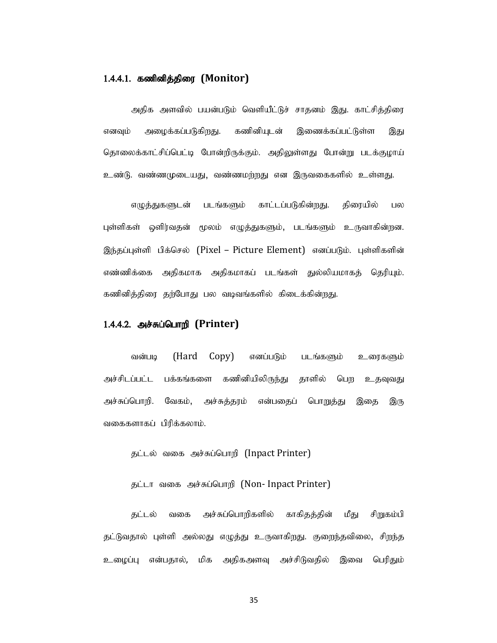#### 1.4.4.1. கணினித்திரை (Monitor)

**கணினித்திரை (Monitor)**<br>அதிக அளவில் பயன்படும் வெளியீட்டுச் சாதனம் இது. காட்சித்திரை<br>அழைக்கப்படுகிறது. கணினியுடன் இணைக்கப்பட்டுள்ள இது<br>லக்காட்சிப்பெட்டி போன்றிருக்கும். அதிலுள்ளது போன்று படக்குழாய் எனவும் அழைக்கப்படுகிறது. கணினியுடன் இணைக்கப்பட்டுள்ள இது தொலைக்காட்சிப்பெட்டி போன்றிருக்கும். அதிலுள்ளது போன்று படக்குழாய் உண்டு. வண்ணமுடையது, வண்ணமர்றது என இருவகைகளில் உள்ளது.

எழுத்துகளுடன் படங்களும் காட்டப்படுகின்றது. திரையில் பல புள்ளிகள் ஒளிர்வதன் மூலம் எழுத்துகளும், படங்களும் உருவாகின்றன. இந்தப்புள்ளி பிக்செல் (Pixel – Picture Element) எனப்படும். புள்ளிகளின் எண்ணிக்கை அதிகமாக அதிகமாகப் படங்கள் துல்லியமாகத் தெரியும். கணினித்திரை தற்போது பல வடிவங்களில் கிடைக்கின்றது.

#### 1.4.4.2. அச்சுப்பொறி (Printer)

வன்படி (Hard Copy) எனப்படும் படங்களும் உரைகளும் அச்சிடப்பட்ட பக்கங்களை கணினியிலிருந்து தாளில் பெற உதவுவது அச்சுப்பொறி. வேகம், அச்சுத்தரம் என்பதைப் பொறுத்து இதை இரு வகைகளாகப் பிரிக்கலாம்.

தட்டல் வகை அச்சுப்பொறி (Inpact Printer)

தட்டா வகை அச்சுப்பொறி (Non- Inpact Printer)

தட்டல் வகை அச்சுப்பொறிகளில் காகிதத்தின் மீது சிறுகம்பி தட்டுவதால் புள்ளி அல்லது எழுத்து உருவாகிறது. குறைந்தவிலை, சிறந்த உழைப்பு என்பதால், மிக அதிகஅளவு அச்சிடுவதில் இவை பெரிதும்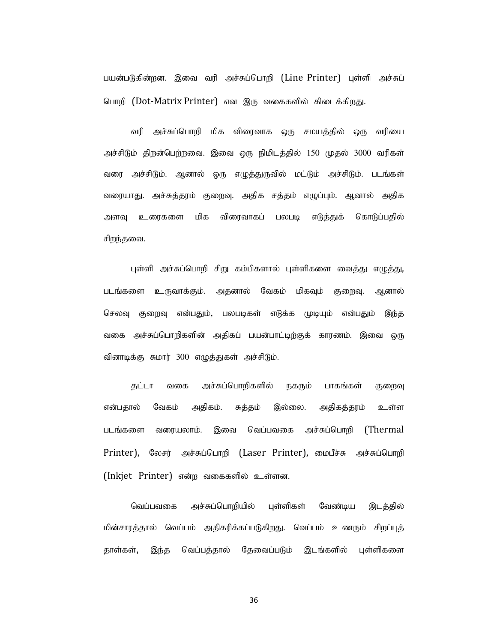பயன்படுகின்றன. இவை வரி அச்சுப்பொறி (Line Printer) புள்ளி அச்சுப் பொறி (Dot-Matrix Printer) என இரு வகைகளில் கிடைக்கிறது.

வரி அச்சுப்பொறி மிக விரைவாக ஒரு சமயத்தில் ஒரு வரியை அச்சிடும் திறன்பெற்றவை. இவை ஒரு நிமிடத்தில் 150 முதல் 3000 வரிகள் வரை அச்சிடும். ஆனால் ஒரு எழுத்துருவில் மட்டும் அச்சிடும். படங்கள் வரையாது. அச்சுத்தரம் குறைவு. அதிக சத்தம் எழுப்பும். ஆனால் அதிக அளவு உரைகளை மிக விரைவாகப் பலபடி எடுத்துக் கொடுப்பதில் சிறந்தவை.

புள்ளி அச்சுப்பொறி சிறு கம்பிகளால் புள்ளிகளை வைத்து எழுத்து, படங்களை உருவாக்கும். அதனால் வேகம் மிகவும் குறைவு. ஆனால் செலவு குறைவு என்பதும், பலபடிகள் எடுக்க முடியும் என்பதும் இந்த வகை அச்சுப்பொறிகளின் அதிகப் பயன்பாட்டிற்குக் காரணம். இவை ஒரு வினாடிக்கு சுமார் 300 எழுத்துகள் அச்சிடும்.

தட்டா வகை அச்சுப்பொறிகளில் நகரும் பாகங்கள் குறைவு என்பதால் வேகம் அதிகம். சுத்தம் இல்லை. அதிகத்தரம் உள்ள படங்களை வரையலாம். இவை வெப்பவகை அச்சுப்பொறி (Thermal புள்ளி அச்சுப்பொழி சிறு கம்பிகளால் புள்ளிகளை வைத்து எழுத்து,<br>படங்களை உருவாக்கும். அதனால் வேகம் மிகவும் குறைவு. ஆனால்<br>செலவு குறைவு என்பதம், பலபடிகள் எடுக்க முடியும் என்பதம் இந்த<br>வகை அச்சுப்பொழிகளின் அதிகப் பயன்பாட்டிற்குக் (Inkjet Printer) என்ற வகைகளில் உள்ளன.

வெப்பவகை அச்சுப்பொறியில் புள்ளிகள் வேண்டிய இடத்தில் மின்சாரத்தால் வெப்பம் அதிகரிக்கப்படுகிறது. வெப்பம் உணரும் சிறப்புத் தாள்கள், இந்த வெப்பத்தால் தேவைப்படும் இடங்களில் புள்ளிகளை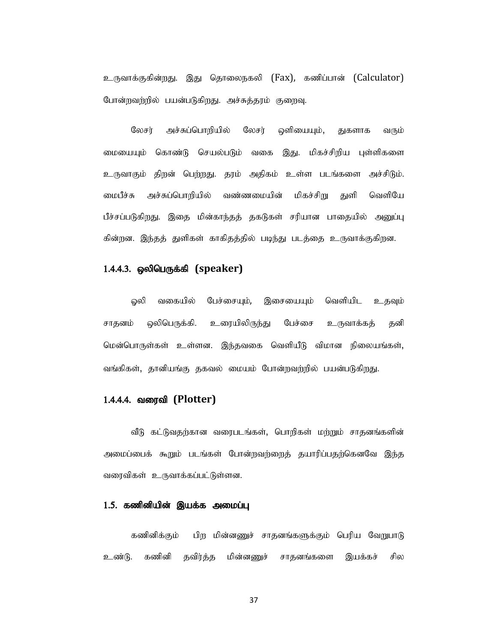உருவாக்குகின்றது. இது தொலைநகலி (Fax), கணிப்பான் (Calculator) போன்றவற்றில் பயன்படுகிறது. அச்சுத்தரம் குறைவு.

லேசர் அச்சுப்பொறியில் லேசர் ஒளியையும், துகளாக வரும் மையையும் கொண்டு செயல்படும் வகை இது. மிகச்சிறிய புள்ளிகளை உருவாகும் திறன் பெற்றது. தரம் அதிகம் உள்ள படங்களை அச்சிடும். மைபீச்சு அச்சுப்பொறியில் வண்ணமையின் மிகச்சிறு துளி வெளியே உருவாக்குகின்றது. இது தொலைநகலி (Fax), கணிப்பான் (Calculator)<br>போன்றவற்றில் பயன்படுகிறது. அச்சுத்தரம் குறைவு.<br>மைபையும் கொண்டு செயல்படும் - லேசர் - ஒளியையும், துகளாக - வரும்<br>உருவாகும் திறன் பெற்றது. தரம் அதிகம் உள்ள படங்களை கின்றன. இந்தத் துளிகள் காகிதத்தில் படிந்து படத்தை உருவாக்குகிறன. மையையும் கொண்டு செயல்படும் வகை இது. மிகச்சிறிய புள்ளிகளை<br>உருவாகும் திறன் பெற்றது. தரம் அதிகம் உள்ள படங்களை அச்சிடும்.<br>மைபீச்சு அச்சும்பொரியில் வண்ணமையின் மிகச்சிறு துளி வெளியே<br>பிச்சப்படுகிறது. இதை மின்காந்தத் தகடுகள் சரிப

#### $1.4.4.3.$  ஒலிபெருக்கி (speaker)

ஓலி வகையில் பேச்சையும், இசையையும் வெளியிட உதவும் சாதனம் ஒலிபெருக்கி. உரையிலிருந்து பேச்சை உருவாக்கத் தனி

#### 1.4.4.4. வரைவி (Plotter)

வீடு கட்டுவதற்கான வரைபடங்கள், பொறிகள் மற்றும் சாதனங்களின் அமைப்பைக் கூறும் படங்கள் போன்றவற்றைத் தயாரிப்பதற்கெனவே இந்த வரைவிகள் உருவாக்கப்பட்டுள்ளன.

#### $1.5.$  கணினியின் இயக்க அமைப்பு

கணினிக்கும் பிற மின்னணுச் சாதனங்களுக்கும் பெரிய வேறுபாடு உண்டு. கணினி தவிர்த்த மின்னணுச் சாதனங்களை இயக்கச் சில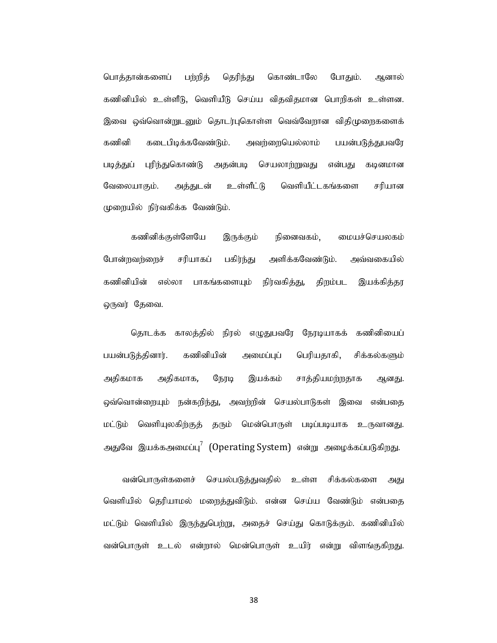பொத்தான்களைப் பற்றித் தெரிந்து கொண்டாலே போதும். ஆனால் பொத்தான்களைப் பற்றித் தெரிந்து கொண்டாலே போதும். ஆனால்<br>கணினியில் உள்ளீடு, வெளியீடு செய்ய விதவிதமான பொறிகள் உள்ளன.<br>இவை ஒவ்வொன்றுடனும் தொடர்புகொள்ள வெவ்வேறான விதிமுறைகளைக்<br>கணினி கடைபிடிக்கவேண்டும். அவற்றையெல்லாம் பயன்படுத்து இவை ஒவ்வொன்றுடனும் தொடர்புகொள்ள வெவ்வேறான விதிமுறைகளைக் கணினி கடைபிடிக்கவேண்டும். அவற்றையெல்லாம் பயன்படுத்துபவரே படித்துப் புரிந்துகொண்டு அதன்படி செயலாற்றுவது என்பது கடினமான பொத்தான்களைப் பற்றீத் தெரிந்து கொண்டாலே போதும். ஆனால்<br>கணினிபில் உள்ளீடு, வெளியீடு செய்ய விதவிதமான பொறிகள் உள்ளன.<br>இவை ஒவ்வொன்றுடனும் தொடர்புகொள்ள வெவ்வேறான விதிமுறைகளைக்<br>கணினி கடைபிடிக்கவேண்டும். அவற்றையெல்லாம் பயன்படுத்து  $(Lp$ றையில் நிர்வகிக்க வேண்டும்.

கணினிக்குள்ளேயே இருக்கும் நினைவகம், மையச்செயலகம் போன்றவற்றைச் சரியாகப் பகிர்ந்து அளிக்கவேண்டும். அவ்வகையில் கணினியின் எல்லா பாகங்களையும் நிர்வகித்து, திறம்பட இயக்கித்தர ஒருவர் தேவை.

தொடக்க காலத்தில் நிரல் எழுதுபவரே நேரடியாகக் கணினியைப் பயன்படுத்தினார். கணினியின் அமைப்புப் பெரியதாகி, சிக்கல்களும் அதிகமாக அதிகமாக, நேரடி இயக்கம் சாத்தியமற்றதாக ஆனது. ஒவ்வொன்றையும் நன்கறிந்து, அவற்றின் செயல்பாடுகள் இவை என்பதை மட்டும் வெளியுலகிற்குத் தரும் மென்பொருள் படிப்படியாக உருவானது. அதுவே இயக்கஅமைப்பு $^7$  (Operating System) என்று அழைக்கப்படுகிறது.

வன்பொருள்களைச் செயல்படுத்துவதில் உள்ள சிக்கல்களை அது வெளியில் தெரியாமல் மறைத்துவிடும். என்ன செய்ய வேண்டும் என்பதை மட்டும் வெளியில் இருந்துபெற்று, அதைச் செய்து கொடுக்கும். கணினியில் வன்பொருள் உடல் என்றால் மென்பொருள் உயிர் என்று விளங்குகிறது.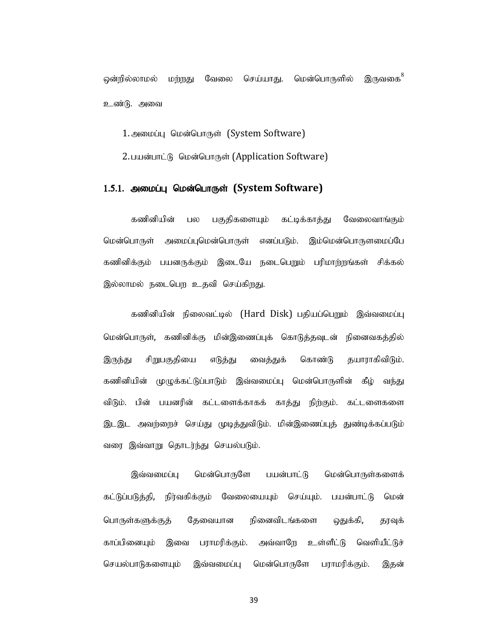ஒன்றில்லாமல் மற்றது வேலை செய்யாது. மென்பொருளில் இருவகை<sup>8</sup> உண்டு. அவை

1. அமைப்பு மென்பொருள் (System Software)

2. பயன்பாட்டு மென்பொருள் (Application Software)

#### 1.5.1. அமைப்பு மென்பொருள் (System Software)

கணினியின் பல பகுதிகளையும் கட்டிக்காத்து வேலைவாங்கும் மென்பொருள் அமைப்புமென்பொருள் எனப்படும். இம்மென்பொருளமைப்பே கணினிக்கும் பயனருக்கும் இடையே நடைபெறும் பரிமாற்றங்கள் சிக்கல் இல்லாமல் நடைபெற உதவி செய்கிறது.

கணினியின் நிலைவட்டில் (Hard Disk) பகியப்பெறும் இவ்வமைப்பு மென்பொருள், கணினிக்கு மின்இணைப்புக் கொடுத்தவுடன் நினைவகத்தில் இருந்து சிறுபகுதியை எடுத்து வைத்துக் கொண்டு தயாராகிவிடும். **1.5.1. அமைப்பு மென்பொருள் (System Software)**<br>- கணினியின் பல பகுதிகளையும் கட்டிக்காத்து வேலைவாங்கும்<br>மென்பொருள் அமைப்புமென்பொருள் எனப்படும். இம்மென்பொருளமைப்பே<br>-<br>கணினிக்கும் பயனருக்கும் இடைபே நடைபெறும் பரிமாற்றங்கள் சிக்க விடும். பின் பயனரின் கட்டளைக்காகக் காத்து நிற்கும். கட்டளைகளை இடஇட அவற்றைச் செய்து முடித்துவிடும். மின்இணைப்புத் துண்டிக்கப்படும் வரை இவ்வாறு தொடர்ந்து செயல்படும். எமனாயுடுள், கண்ணக்கு மனதனையுக கொருத்தவு வ நனைகைத்தில்<br>இருந்து சிறுபகுதியை எடுத்து வைத்துக் கொண்டு தயாராகிவிடும்.<br>கணினியின் முழுக்கட்டுப்பாடும் இவ்வமைப்பு மென்பொருளின் கீழ் வந்து<br>விடும். பின் பயனரின் கட்டளைக்காகக் காத்து ந

இவ்வமைப்பு மென்பொருளே பயன்பாட்டு மென்பொருள்களைக் கட்டுப்படுத்தி, நிர்வகிக்கும் வேலையையும் செய்யும். பயன்பாட்டு மென் பொருள்களுக்குத் தேவையான நினைவிடங்களை ஒதுக்கி, தரவுக் செயல்பாடுகளையும் இவ்வமைப்பு மென்பொருளே பராமரிக்கும். இதன்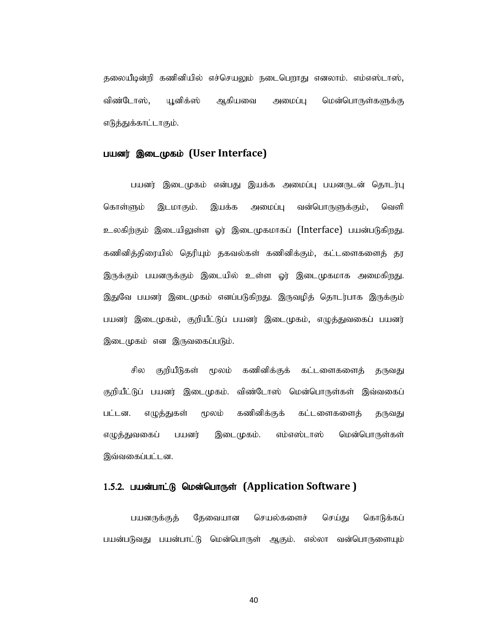தலையீடின்றி கணினியில் எச்செயலும் நடைபெறாது எனலாம். எம்எஸ்டாஸ்,<br>விண்டோஸ், யூனிக்ஸ் ஆகியவை அமைப்பு மென்பொருள்களுக்கு<br>எடுத்துக்காட்டாகும். எடுத்துக்காட்டாகும்.

#### பயனர் இடைமுகம் (User Interface)

பயனர் இடைமுகம் என்பது இயக்க அமைப்பு பயனருடன் தொடர்பு கொள்ளும் இடமாகும். இயக்க அமைப்பு வன்பொருளுக்கும், வெளி உலகிற்கும் இடையிலுள்ள ஓர் இடைமுகமாகப் (Interface) பயன்படுகிறது. கணினித்திரையில் தெரியும் தகவல்கள் கணினிக்கும், கட்டளைகளைத் தர இருக்கும் பயனருக்கும் இடையில் உள்ள ஓர் இடைமுகமாக அமைகிறது. இதுவே பயனர் இடைமுகம் எனப்படுகிறது. இருவழித் தொடர்பாக இருக்கும் எடுத்துக்காட்டாகும்.<br>பயணர் **இடைமுகம் (User Interface)**<br>- பயணர் இடைமுகம் என்பது இயக்க அமைப்பு பயணருடன் தொடர்பு<br>உலகிற்கும் இடமாகும். - இயக்க - அமைப்பு வன்பொருளுக்கும், - வெளி<br>உலகிற்கும் இடையிலுள்ள ஓர் இடைமுகமாகப் (Interface இடைமுகம் என இருவகைப்படும். பயனர் இடைமுகம் என்பது இயக்க அமைப்பு பயனருடன் தொடர்பு<br>கொள்ளும் இடமாகும். இயக்க அமைப்பு வன்பொருளுக்கும், வெளி<br>உலகிற்கும் இடையிலுள்ள ஓர் இடைமுகமாகப் (Interface) பயன்படுகிறது.<br>தனினித்திரையில் தெரியும் தகவல்கள் கணினிக்கும், கட டெக்காள்ளும் இடமாகும். வையிது இக்கை அமைப்பு பென்றுடன தொடர்பு<br>கொள்ளும் இடமாகும். இயக்க அமைப்பு வன்பொருளுக்கும், வெளி<br>உலகிற்கும் இடையிலுள்ள ஓர் இடைமுகமாகப் (Interface) பயன்படுகிறது.<br>திருக்கும் பயனருக்கும் இடையில் உள்ள ஓர் இ

பட்டன. எழுத்துகள் மூலம் கணினிக்குக் கட்டளைகளைத் தருவது எழுத்துவகைப் பயனர் இடைமுகம். எம்எஸ்டாஸ் மென்பொருள்கள் இவ்வகைப்பட்டன.

#### 1.5.2. பயன்பாட்டு மென்பொருள் (Application Software )

பயனருக்குத் தேவையான செயல்களைச் செய்து கொடுக்கப் பயன்படுவது பயன்பாட்டு மென்பொருள் ஆகும். எல்லா வன்பொருளையும்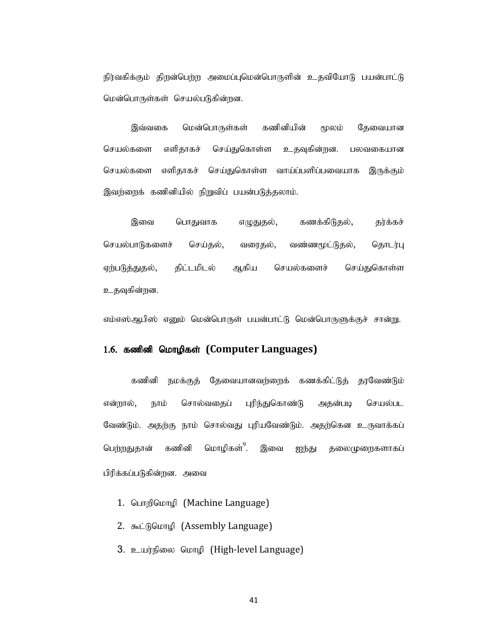நிர்வகிக்கும் திறன்பெற்ற அமைப்புமென்பொருளின் உதவியோடு பயன்பாட்டு மென்பொருள்கள் செயல்படுகின்றன.

இவ்வகை மென்பொருள்கள் கணினியின் மூலம் தேவையான செயல்களை எளிதாகச் செய்துகொள்ள உதவுகின்றன. பலவகையான செயல்களை எளிதாகச் செய்துகொள்ள வாய்ப்பளிப்பவையாக இருக்கும் இவற்றைக் கணினியில் நிறுவிப் பயன்படுத்தலாம்.

இவை பொதுவாக எழுதுதல், கணக்கிடுதல், தர்க்கச் செயல்பாடுகளைச் செய்தல், வரைதல், வண்ணமூட்டுதல், தொடர்பு ஏற்படுத்துதல், திட்டமிடல் ஆகிய செயல்களைச் செய்துகொள்ள உதவுகின்றன.

எம்எஸ்ஆபிஸ் எனும் மென்பொருள் பயன்பாட்டு மென்பொருளுக்குச் சான்று.

#### 1.6. கணினி மொழிகள் (Computer Languages)

கணினி நமக்குத் தேவையானவர்ளைக் கணக்கிட்டுத் தரவேண்டும் என்றால், நாம் சொல்வதைப் புரிந்துகொண்டு அதன்படி செயல்பட வேண்டும். அதற்கு நாம் சொல்வது புரியவேண்டும். அதற்கென உருவாக்கப் பெ<u>ற்றது</u>தான் கணினி மொழிகள்<sup>9</sup>. இவை ஐந்து கலைமுறைகளாகப் பிரிக்கப்படுகின்றன. அவை

- 1. பொறிமொழி (Machine Language)
- 2.  $\Phi$  Linkhop (Assembly Language)
- 3. உயர்நிலை மொழி (High-level Language)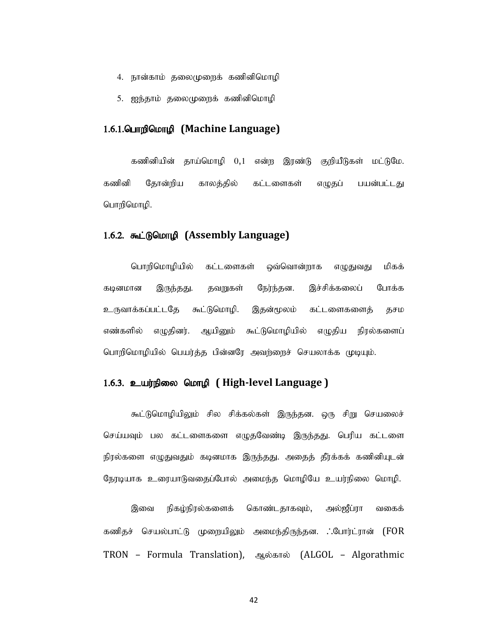- 
- 

# 4. நான்காம் தலைமுறைக் கணினிமொழி<br>5. ஐந்தாம் தலைமுறைக் கணினிமொழி<br>1**.பொறிமொழி (Machine Language)** 4. நான்காம் தலைமுறைக் கணினிமொழி<br>5. ஐந்தாம் தலைமுறைக் கணினிமொழி<br>1**.பொறிமொழி (Machine Language)** 1.6.1. Quang Quanghang (Machine Language)

நான்காம் தலைமுறைக் கணினிமொழி<br>ஐந்தாம் தலைமுறைக் கணினிமொழி<br>**பாறிமொழி (Machine Language)**<br>கணினியின் தாய்மொழி 0,1 என்ற இரண்டு குறியீடுகள் மட்டுமே.<br>தோன்றிய காலத்தில் கட்டளைகள் எழுதப் பயன்பட்டது<br>மாழி. கணினி தோன்றிய காலத்தில் கட்டளைகள் எழுதப் பயன்பட்டது பொறிமொழி.

#### 1.6.2. கூட்டுமொழி (Assembly Language)

பொறிமொழியில் கட்டளைகள் ஒவ்வொன்றாக எழுதுவது மிகக் கடினமான இருந்தது. தவறுகள் நேர்ந்தன. இச்சிக்கலைப் போக்க உருவாக்கப்பட்டதே கூட்டுமொழி. இதன்மூலம் கட்டளைகளைத் தசம எண்களில் எழுதினர். ஆயினும் கூட்டுமொழியில் எழுதிய நிரல்களைப் பொறிமொழியில் பெயர்த்த பின்னரே அவற்றைச் செயலாக்க முடியும். யொறிமொழியில் கட்டளைகள் ஒவ்வொன்றாக எழுதுவது மிகக்<br>கடினமான இருந்தது. தவறுகள் நேர்ந்தன. இச்சிக்கலைப் போக்க<br>உருவாக்கப்பட்டதே கூட்டுமொழி. இதன்மூலம் கட்டளைகளைத் தசம<br>எண்களில் எழுதினர். ஆயினும் கூட்டுமொழியில் எழுதிய நிரல்களைப்<br>ப

#### 1.6.3. உயர்நிலை மொழி (High-level Language )

கூட்டுமொழியிலும் சில சிக்கல்கள் இருந்தன. ஒரு சிறு செயலைச் செய்யவும் பல கட்டளைகளை எழுதவேண்டி இருந்தது. பெரிய கட்டளை நேரடியாக உரையாடுவதைப்போல் அமைந்த மொழியே உயர்நிலை மொழி. உருவாக்கப்பட்டதே கூட்டுமொழி, இதன்மூலம் கட்டளைகளைத் தசம<br>எண்களில் எழுதினர், ஆயினும் கூட்டுமொழியில் எழுதிய நிரல்களைப்<br>பொறிமொழியில் பெயர்த்த பின்னரே அவர்றைச் செயலாக்க முடியும்.<br>கூட்டுமொழியிலும் சில சிக்கல்கள் இருந்தது, ஒரு ச

கணிதச் செயல்பாட்டு முறையிலும் அமைந்திருந்தன. . போர்ட்ரான் (FOR TRON – Formula Translation), ஆல்கால் (ALGOL – Algorathmic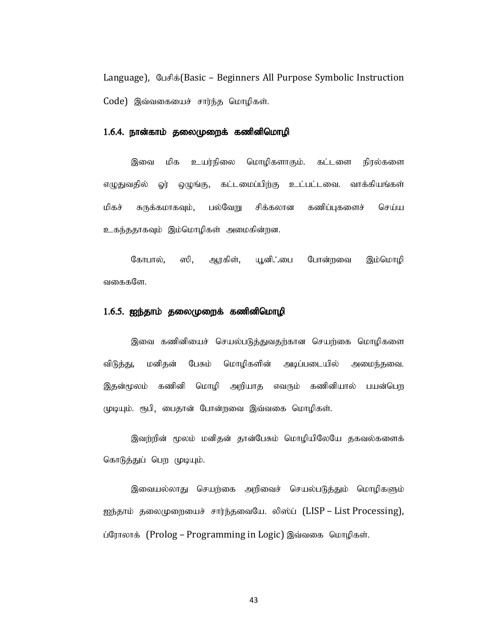Language),  $\mathcal{C} \cup \mathcal{F}$  is (Basic – Beginners All Purpose Symbolic Instruction  $Code)$  இவ்வகையைச் சார்ந்த மொழிகள்.

#### 1.6.4. நான்காம் தலைமுறைக் கணினிமொழி

இவை மிக உயர்நிலை மொழிகளாகும். கட்டளை நிரல்களை எழுதுவதில் ஓர் ஒழுங்கு, கட்டமைப்பிற்கு உட்பட்டவை. வாக்கியங்கள் மிகச் சுருக்கமாகவும், பல்வேறு சிக்கலான கணிப்புகளைச் செய்ய உகந்ததாகவும் இம்மொழிகள் அமைகின்றன.

கோபால், ஸி, ஆரகிள், யூனி. மை போன்றவை இம்மொழி வகைகளே.

#### $1.6.5$ . ஐந்தாம் தலைமுறைக் கணினிமொழி

இவை கணினியைச் செயல்படுத்துவதற்கான செயற்கை மொழிகளை விடுத்து, மனிதன் பேசும் மொழிகளின் அடிப்படையில் அமைந்தவை. இதன்மூலம் கணினி மொழி அறியாத எவரும் கணினியால் பயன்பெற முடியும். ரூபி, பைதான் போன்றவை இவ்வகை மொழிகள்.

இவற்றின் மூலம் மனிதன் தான்பேசும் மொழியிலேயே தகவல்களைக் கொடுத்துப் பெற முடியும்.

இவையல்லாது செயற்கை அறிவைச் செயல்படுத்தும் மொழிகளும் ஐந்தாம் தலைமுறையைச் சார்ந்தவையே. லிஸ்ப் (LISP – List Processing), ப்ரோலாக் (Prolog – Programming in Logic) இவ்வகை மொழிகள்.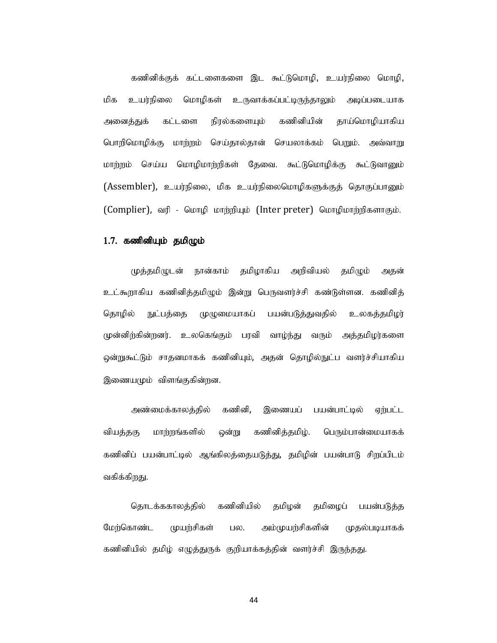கணினிக்குக் கட்டளைகளை இட கூட்டுமொழி, உயர்நிலை மொழி, மிக உயர்நிலை மொழிகள் உருவாக்கப்பட்டிருந்தாலும் அடிப்படையாக அனைத்துக் கட்டளை நிரல்களையும் கணினியின் தாய்மொழியாகிய பொறிமொழிக்கு மாற்றம் செய்தால்தான் செயலாக்கம் பெறும். அவ்வாறு மாற்றம் செய்ய மொழிமாற்றிகள் தேவை. கூட்டுமொழிக்கு கூட்டுவானும் (Assembler), உயர்நிலை, மிக உயர்நிலைமொழிகளுக்குத் தொகுப்பானும் (Complier), வரி - மொழி மாற்றியும் (Inter preter) மொழிமாற்றிகளாகும்.

**1.7. கணினியும் தமிழும்**<br>முத்தமிழுடன் நான்காம் தமிழாகிய அறிவியல் தமிழும் அதன் உட்கூறாகிய கணினித்தமிழும் இன்று பெருவளர்ச்சி கண்டுள்ளன. கணினித் தொழில் நுட்பத்தை முழுமையாகப் பயன்படுத்துவதில் உலகத்தமிழர் முன்னிற்கின்றனர். உலகெங்கும் பரவி வாழ்ந்து வரும் அத்தமிழர்களை ஒன்றுகூட்டும் சாதனமாகக் கணினியும், அதன் தொழில்நுட்ப வளர்ச்சியாகிய இணையமும் விளங்குகின்றன.

அண்மைக்காலத்தில் கணினி, இணையப் பயன்பாட்டில் ஏற்பட்ட வியத்தகு மாற்றங்களில் ஒன்று கணினித்தமிழ். பெரும்பான்மையாகக் கணினிப் பயன்பாட்டில் ஆங்கிலத்தையடுத்து, தமிழின் பயன்பாடு சிறப்பிடம் வகிக்கிறது.

தொடக்ககாலத்தில் கணினியில் தமிழன் தமிழைப் பயன்படுத்த மேற்கொண்ட முயற்சிகள் பல. அம்முயற்சிகளின் முதல்படியாகக் கணினியில் தமிழ் எழுத்துருக் குறியாக்கத்தின் வளர்ச்சி இருந்தது.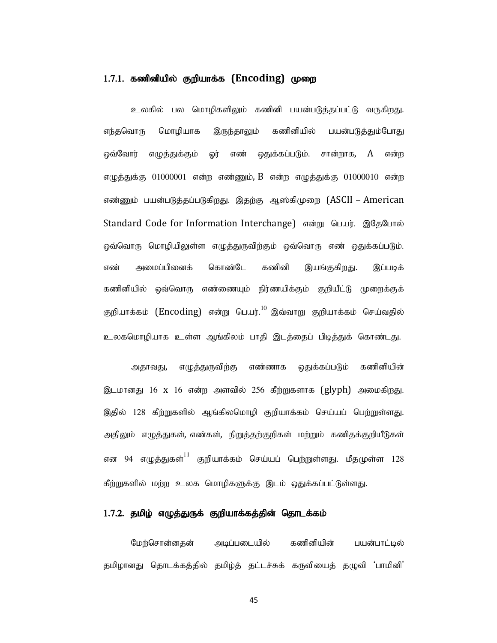#### $1.7.1.$  கணினியில் குறியாக்க  $(Encoding)$  முறை

உலகில் பல மொழிகளிலும் கணினி பயன்படுத்தப்பட்டு வருகிறது. எந்தவொரு மொழியாக இருந்தாலும் கணினியில் பயன்படுத்தும்போது ஒவ்வோர் எழுத்துக்கும் ஓர் எண் ஒதுக்கப்படும். சான்றாக,  $A$  என்ற எழுத்துக்கு 01000001 என்ற எண்ணும், B என்ற எழுத்துக்கு 01000010 என்ற எண்ணும் பயன்படுத்தப்படுகிறது. இதற்கு ஆஸ்கிமுறை (ASCII – American Standard Code for Information Interchange) என்று பெயர். இதேபோல் ஒவ்வொரு மொழியிலுள்ள எழுத்துருவிற்கும் ஒவ்வொரு எண் ஒதுக்கப்படும். எண் அமைப்பினைக் கொண்டே கணினி இயங்குகிறது. இப்படிக் கணினியில் ஒவ்வொரு எண்ணையும் நிர்ணயிக்கும் குறியீட்டு முறைக்குக் குறியாக்கம்  $(\rm{Encoding})$  என்று பெயர். $^{10}$  இவ்வாறு குறியாக்கம் செய்வதில் உலகமொழியாக உள்ள ஆங்கிலம் பாதி இடத்தைப் பிடித்துக் கொண்டது. எண்ணும் பயன்படுத்தப்படுகிறது. இதற்கு ஆஸ்கிமுறை (ASCII – American<br>Standard Code for Information Interchange) என்று பெயர். இதேபோல்<br>ஒவ்வொரு மொழியிலுள்ள எழுத்துருவிற்கும் ஒவ்வொரு எண் ஒதுக்கப்படும்.<br>எண் அமைப்பினைக் கொண்டே கணின Standard Code for Information Interchange) என்று பெயர். இதேபோல்<br>ஒவ்வொரு மொழிபிலுள்ள எழுத்துருவிற்கும் ஒவ்வொரு எண் ஒதுக்கப்படும்.<br>எண் அமைப்பினைக் கொண்டே கணினி இயங்குகிறது. இப்படிக்<br>தலிவியில் ஒவ்வொரு எண்ணையும் நிர்ணயிக்கும

அதாவது, எழுத்துருவிற்கு எண்ணாக ஒதுக்கப்படும் கணினியின் ஒவ்வொரு மொழியிலுள்ள எழுத்துருவிற்கும் ஒவ்வொரு எண் ஒதுக்கப்படும்.<br>எண் அமைப்பினைக் கொண்டே கணினி இயங்குகிறது. இப்படிக்<br>கணிவியில் ஒவ்வொரு எண்ணையும் நிர்ணயிக்கும் குறியீட்டு முறைக்குக்<br>சூறியாக்கம் (Encoding) என்று பெயர்.<sup>10</sup> இ என 94 எழுத்துகள் $^{11}$  குறியாக்கம் செய்யப் பெற்றுள்ளது. மீதமுள்ள 128 கணினியில் ஒவ்வொரு எண்ணையும் நிர்ணயிக்கும் குறியிட்டு முறைக்குக்<br>குறியாக்கம் (Encoding) என்று பெயர்.<sup>10</sup> இவ்வாறு குறியாக்கம் செய்வதில்<br>உலகமொழியாக உள்ள ஆங்கிஸம் பாதி இடத்தைப் பிடித்துக் கொண்டது.<br>இடமானது 16 x 16 என்ற அளவில்

#### 1.7.2. தமிழ் எழுத்துருக் குறியாக்கத்தின் தொடக்கம்

மேற்சொன்னதன் அடிப்படையில் கணினியின் பயன்பாட்டில் தமிழானது தொடக்கத்தில் தமிழ்த் தட்டச்சுக் கருவியைத் தழுவி 'பாமினி'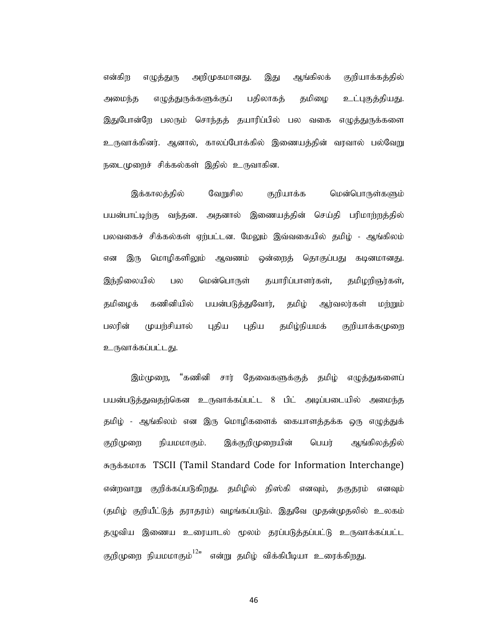என்கிற எழுத்துரு அறிமுகமானது. இது ஆங்கிலக் குறியாக்கக்கில் அமைந்த எழுத்துருக்களுக்குப் பதிலாகத் தமிழை உட்புகுத்தியது. இதுபோன்றே பலரும் சொந்தத் தயாரிப்பில் பல வகை எழுத்துருக்களை உருவாக்கினர். ஆனால், காலப்போக்கில் இணையத்தின் வரவால் பல்வேறு நடைமுறைச் சிக்கல்கள் இதில் உருவாகின.

இக்காலத்தில் வேறுசில குறியாக்க மென்பொருள்களும் பயன்பாட்டிற்கு வந்தன. அதனால் இணையத்தின் செய்தி பரிமாற்றத்தில் பலவகைச் சிக்கல்கள் ஏற்பட்டன. மேலும் இவ்வகையில் தமிழ் - ஆங்கிலம் என இரு மொழிகளிலும் ஆவணம் ஒன்றைத் தொகுப்பது கடினமானது. இந்நிலையில் பல மென்பொருள் தயாரிப்பாளர்கள், தமிழறிஞர்கள், தமிழைக் கணினியில் பயன்படுத்துவோர், தமிழ் ஆர்வலர்கள் மற்றும் பலரின் முயற்சியால் புதிய புதிய தமிழ்நியமக் குறியாக்கமுறை உருவாக்கப்பட்டது.

இம்முறை, "கணினி சார் தேவைகளுக்குத் தமிழ் எழுத்துகளைப் பயன்படுத்துவதற்கென உருவாக்கப்பட்ட 8 பிட் அடிப்படையில் அமைந்த தமிழ் - ஆங்கிலம் என இரு மொழிகளைக் கையாளத்தக்க ஒரு எழுத்துக் குறிமுறை நியமமாகும். இக்குறிமுறையின் பெயர் ஆங்கிலத்தில் RUf;fkhf TSCII (Tamil Standard Code for Information Interchange) என்றவாறு குறிக்கப்படுகிறது. தமிழில் திஸ்கி எனவும், தகுதூம் எனவும் தமழைக் கணைவால் பானாருஜ்துணார், தமழ் ஆர்வலர்கள் முற்றும்<br>உருவாக்கப்பட்டது.<br>உருவாக்கப்பட்டது.<br>இம்முறை, "கணினி சார் தேவைகளுக்குத் தமிழ் எழுத்துகளைப்<br>பயன்படுத்துவதர்கென உருவாக்கப்பட்ட 8 பிட் அடிப்படையில் அமைந்த<br>தமிழ் - ஆங்கில தழுவிய இணைய உரையாடல் மூலம் தரப்படுத்தப்பட்டு உருவாக்கப்பட்ட  $\mathcal{L}_{\mathcal{Y}}$ www.solatelyw.<br>இம்முறை, "கணினி சார் தேவைகளுக்குத் தமிழ் எழுத்துகளைப்<br>தமிழ் - ஆங்கிலம் என இரு மொழிகளைக் கையாளத்தக்க ஒரு எழுத்துக்<br>தறிழ் - ஆங்கிலம் என இரு மொழிகளைக் கையாளத்தக்க ஒரு எழுத்துக்<br>சுருக்கமாக TSCII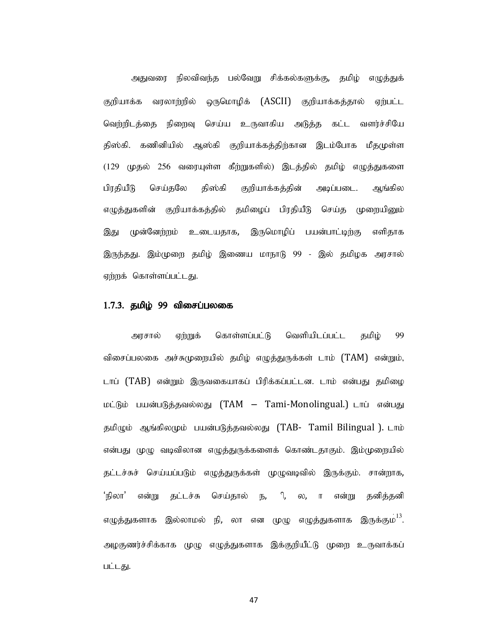அதுவரை நிலவிவந்த பல்வேறு சிக்கல்களுக்கு, தமிழ் எழுத்துக் குறியாக்க வரலாற்றில் ஒருமொழிக் (ASCII) குறியாக்கத்தால் ஏற்பட்ட வெற்றிடத்தை நிறைவு செய்ய உருவாகிய அடுத்த கட்ட வளர்ச்சியே அதுவரை நிலவிவந்த பல்வேறு சிக்கல்களுக்கு, தமிழ் எழுத்துக்<br>குறியாக்க வரலாற்றீல் ஒருமொழிக் (ASCII) குறியாக்கத்தால் ஏற்பட்ட<br>திஸ்கி. கணினியில் ஆஸ்கி குறியாக்கத்திற்கான இடம்போக மீதமுள்ள<br>(129 முதல் 256 வரையுள்ள கீற்றுகளில்) இடத் அதுவரை நிலவிவந்த பல்வேறு சிக்கல்களுக்கு, தமிழ் எழுத்துக்<br>குறியாக்க வரலாற்றில் ஒருமொழிக் (ASCII) குறியாக்கத்தால் ஏற்பட்ட<br>வெற்றிடத்தை நிறைவு செய்ய உருவாகிய அடுத்த கட்ட வளர்ச்சியே<br>திஸ்கி. கணினியில் ஆஸ்கி குறியாக்கத்திற்கான இ அதுவரை நிலவிவந்த பல்வேறு சிக்கல்களுக்கு, தமிழ் எழுத்துக்<br>குறியாக்க வரலாற்றில் ஒருமொழிக் (ASCII) குறியாக்கத்தால் ஏற்பட்ட<br>வெற்றி த்தை நிறைவு செய்ய உருவாகிய அடுத்த கட்ட வளர்ச்சியே<br>திஸ்கி. கணினியில் ஆஸ்கி குறியாக்கத்திற்கான இ அதுவரை நிலவிவந்த பல்வேறு சிக்கல்களுக்கு, தமிழ் எழுத்துக்<br>குறியாக்க வரலாற்றில் ஒருமொழிக் (ASCII) குறியாக்கத்தால் ஏற்பட்ட<br>திஸ்கி, கணினிரில் ஆஸ்கி குறிராக்கத்திழ்கான இடம்போக மீதமுள்ள<br>1129 முதல் 256 வரையுள்ள கீற்றுகளில்) இடத் இது முன்னேற்றம் உடையதாக, இருமொழிப் பயன்பாட்டிற்கு எளிதாக இருந்தது. இம்முறை தமிழ் இணைய மாநாடு 99 - இல் தமிழக அரசால் ஏற்றக் கொள்ளப்பட்டது.

#### $1.7.3.$  தமிழ் 99 விசைப்பலகை

அரசால் ஏற்றுக் கொள்ளப்பட்டு வெளியிடப்பட்ட தமிழ் 99 விசைப்பலகை அச்சுமுறையில் தமிழ் எழுத்துருக்கள் டாம் (TAM) என்றும், டாப் (TAB) என்றும் இருவகையாகப் பிரிக்கப்பட்டன. டாம் என்பது தமிழை மட்டும் பயன்படுத்தவல்லது (TAM – Tami-Monolingual.) டாப் என்பது தமிழும் ஆங்கிலமும் பயன்படுத்தவல்லது (TAB- Tamil Bilingual ). டாம் என்பது முழு வடிவிலான எழுத்துருக்களைக் கொண்டதாகும். இம்முறையில் தட்டச்சுச் செய்யப்படும் எழுத்துருக்கள் முழுவடிவில் இருக்கும். சான்றாக, 'நிலா' என்று தட்டச்சு செய்தால் ந, ி, ல, ா என்று தனித்தனி எழுத்துகளாக இல்லாமல் நி, லா என முழு எழுத்துகளாக இருக்கும<sup>் 13</sup>. விசைப்பகை அச்சுமுறையில் தமிழ் எழுத்துருக்கள் டாம் (TAM) என்றும்,<br>பெய் (TAB) என்றும் இருவகையாகப் பீரிக்கப்பட்டன. டாம் என்பது தமிழை<br>மட்டும் பயன்படுத்தவல்லது (TAM – Tami-Monolingual.) டாட் என்பது<br>தமிழும் ஆங்கிலமும் பயன்படுத பட்டது.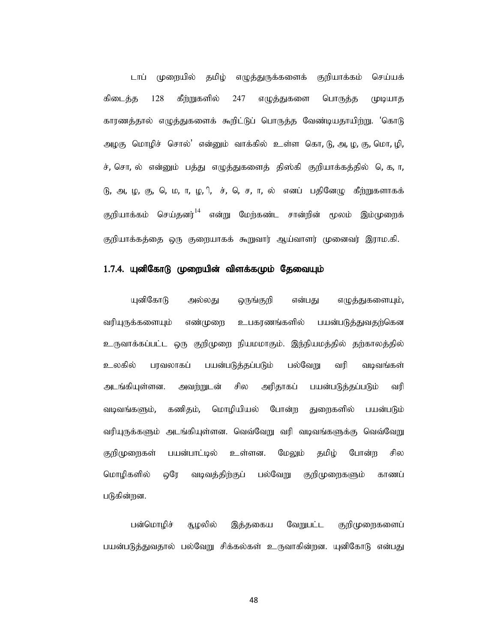டாப் முறையில் தமிழ் எமுத்துருக்களைக் குறியாக்கம் செய்யக் டாப் முறையில் தமிழ் எழுத்துருக்களைக் குறியாக்கம் செய்யக்<br>கிடைத்த 128 கீற்றுகளில் 247 எழுத்துகளை பொருத்த முடியாத<br>காரணத்தால் எழுத்துகளைக் கூறிட்டுப் பொருத்த வேண்டியதாயிற்று. 'கொடு<br>அழகு மொழிச் சொல்' என்னும் வாக்கில் உள்ள கொ, காரணத்தால் எழுத்துகளைக் கூறிட்டுப் பொருத்த வேண்டியதாயிற்று. 'கொடு அழகு மொழிச் சொல்' என்னும் வாக்கில் உள்ள கொ, டு, அ, ழ, கு, மொ, ழி, ச், சொ, ல் என்னும் பத்து எழுத்துகளைத் திஸ்கி குறியாக்கத்தில் தெ, ர, டாப் முறையில் தமிழ் எழுத்தருக்களைக் குறிபாக்கம் செய்யக்<br>கிடைத்த 128 கீற்றுகளில் 247 எழுத்துகளை பொருத்த முடியாத<br>காரணத்தால் எழுத்துகளைக் கூறிட்டுப் பொருத்த வேண்டியதாயிற்று. 'கொடு<br>அழகு மொழிச் சொல்' என்னும் வாக்கில் உள்ள கொ, குறியாக்கம் செய்தனர் $^{14}$  என்று மேற்கண்ட சான்றின் மூலம் இம்முறைக் குறியாக்கத்தை ஒரு குறையாகக் கூறுவார் ஆய்வாளர் முனைவர் இராம.கி.

#### $1.7.4$ . யுனிகோடு முறையின் விளக்கமும் தேவையும்

யுனிகோடு அல்லது ஒருங்குறி என்பது எழுத்துகளையும், ்வரியுருக்களையும் எண்முறை உபகரணங்களில் பயன்படுத்துவதற்கென உருவாக்கப்பட்ட ஒரு குறிமுறை நியமமாகும். இந்நியமத்தில் தற்காலத்தில் உலகில் பரவலாகப் பயன்படுத்தப்படும் பல்வேறு வரி வடிவங்கள் அடங்கியுள்ளன. அவற்றுடன் சில அரிதாகப் பயன்படுத்தப்படும் வரி வடிவங்களும், கணிதம், மொழியியல் போன்ற துறைகளில் பயன்படும் வரியுருக்களும் அடங்கியுள்ளன. வெவ்வேறு வரி வடிவங்களுக்கு வெவ்வேறு குறிமுறைகள் பயன்பாட்டில் உள்ளன. மேலும் கமிம் போன்ற சில மொழிகளில் ஒரே வடிவத்திற்குப் பல்வேறு குறிமுறைகளும் காணப் படுகின்றன.

பன்மொழிச் சூழலில் இத்தகைய வேறுபட்ட குறிமுறைகளைப் பயன்படுத்துவதால் பல்வேறு சிக்கல்கள் உருவாகின்றன. யுனிகோடு என்பது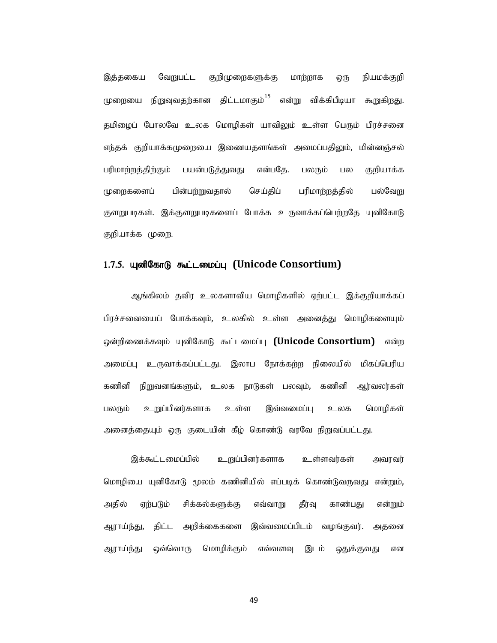இத்தகைய வேறுபட்ட குறிமுறைகளுக்கு மாற்றாக ஒரு நியமக்குறி இத்தகைய வேறுபட்ட குறிமுறைகளுக்கு மாற்றாக ஒரு நியமக்குறி<br>முறையை நிறுவுவதற்கான திட்டமாகும்<sup>15</sup> என்று விக்கிபீடியா கூறுகிறது.<br>தமிழைப் போலவே உலக மொழிகள் யாவிலும் உள்ள பெரும் பிரச்சனை<br>எந்தக் குறியாக்கமுறையை இணையதளங்கள் அமைப்பத தமிழைப் போலவே உலக மொழிகள் யாவிலும் உள்ள பெரும் பிரச்சனை எந்தக் குறியாக்கமுறையை இணையதளங்கள் அமைப்பதிலும், மின்னஞ்சல் பரிமாற்றத்திற்கும் பயன்படுத்துவது என்பதே. பலரும் பல குறியாக்க முறைகளைப் பின்பற்றுவதால் செய்திப் பரிமாற்றத்தில் பல்வேறு குளறுபடிகள். இக்குளறுபடிகளைப் போக்க உருவாக்கப்பெற்றதே யுனிகோடு குறியாக்க முறை.

#### 1.7.5. யுனிகோடு கூட்டமைப்பு (Unicode Consortium)

ஆங்கிலம் தவிர உலகளாவிய மொழிகளில் ஏற்பட்ட இக்குறியாக்கப் பிரச்சனையைப் போக்கவும், உலகில் உள்ள அனைத்து மொழிகளையும் ஒன்றிணைக்கவும் யுனிகோடு கூட்டமைப்பு (Unicode Consortium) என்ற அமைப்பு உருவாக்கப்பட்டது. இலாப நோக்கற்ற நிலையில் மிகப்பெரிய கணினி நிறுவனங்களும், உலக நாடுகள் பலவும், கணினி ஆர்வலர்கள் பலரும் உறுப்பினர்களாக உள்ள இவ்வமைப்பு உலக மொழிகள் குறியாக்க முறை.<br>- ஆங்கோடு **கூட்டமைப்பு (Unicode Consortium)**<br>- ஆங்கிலம் தவிர உலகளாவிய மொழிகளில் ஏற்பட்ட இக்குறியாக்கப்<br>- நிரிக்களையைப் போக்கவும், உலகில் உள்ள அனைத்து மொழிகளையும்<br>- ஒன்றிணைக்கவும் யுனிகோடு கூட்டமைப்பு **(Uni** 

இக்கூட்டமைப்பில் உறுப்பினர்களாக உள்ளவர்கள் அவரவர் மொழியை யுனிகோடு மூலம் கணினியில் எப்படிக் கொண்டுவருவது என்றும், அதில் ஏற்படும் சிக்கல்களுக்கு எவ்வாறு தீர்வு காண்பது என்றும் ஆராய்ந்து, திட்ட அறிக்கைகளை இவ்வமைப்பிடம் வழங்குவர். அதனை ஆராய்ந்து ஒவ்வொரு மொழிக்கும் எவ்வளவு இடம் ஒதுக்குவது என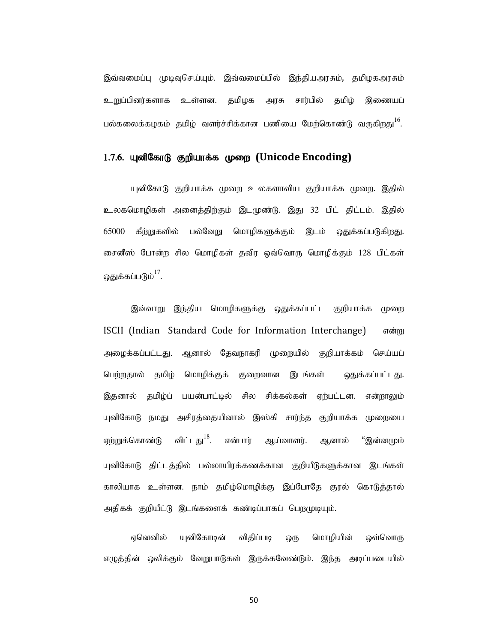இவ்வமைப்பு முடிவுசெய்யும். இவ்வமைப்பில் இந்தியஅரசும், தமிழகஅரசும் உறுப்பினர்களாக உள்ளன. தமிழக அரசு சார்பில் தமிழ் இணையப் பல்கலைக்கழகம் தமிழ் வளர்ச்சிக்கான பணியை மேற்கொண்டு வருகிறது<sup>16</sup>. .

#### 1.7.6. யுனிகோடு குறியாக்க முறை (Unicode Encoding)

யுனிகோடு குறியாக்க முறை உலகளாவிய குறியாக்க முறை. இதில் உலகமொழிகள் அனைத்திற்கும் இடமுண்டு. இது 32 பிட் திட்டம். இதில் இவ்வமைப்பு முடிவுசெய்யும். இவ்வமைப்பில் இந்தியஅரசும், தமிழகஅரசும்<br>உறுப்பினர்களாக உள்ளன. தமிழக அரசு சார்பில் தமிழ் இணையப்<br>பல்கலைக்கழகம் தமிழ் வளர்ச்சிக்கான பணியை மேற்கொண்டு வருகிறது<sup>16</sup>.<br>1**.7.6. யுனிகோடு குறியாக்க முறை (Un** இவ்வமைப்பு முடிவுசெய்யும். இவ்வமைப்பில் இந்திய,அரசும், தமிழக,அரசும்<br>உறுப்பினர்களாக உள்ளன. தமிழக அரசு சார்பில் தமிழ் இணையப்<br>பல்கலைக்கழகம் தமிழ் வளர்ச்சிக்கான பணியை மேற்கொண்டு வருகிறது<sup>16</sup>.<br>1**.7.6. யுனிகோடு குறியாக்க முறை (** ஒதுக்கப்படும் $^{17}$ .

இவ்வாறு இந்திய மொழிகளுக்கு ஒதுக்கப்பட்ட குறியாக்க முறை ISCII (Indian Standard Code for Information Interchange) என்று அழைக்கப்பட்டது. ஆனால் தேவநாகரி முறையில் குறியாக்கம் செய்யப் பெற்றதால் தமிழ் மொழிக்குக் குறைவான இடங்கள் ஒதுக்கப்பட்டது. இதனால் தமிழ்ப் பயன்பாட்டில் சில சிக்கல்கள் ஏற்பட்டன. என்றாலும் யுனிகோடு நமது அசிரத்தையினால் இஸ்கி சார்ந்த குறியாக்க முறையை ஏற்றுக்கொண்டு விட்டது<sup>18</sup>. என்பார் ஆய்வாளர். ஆனால் "இன்னமும் ஒதுக்கப்படும்<sup>17</sup>.<br>- இவ்வாறு இந்திய மொழிகளுக்கு ஒதுக்கப்பட்ட குறியாக்க முறை<br>BSCII (Indian Standard Code for Information Interchange) - என்று<br>வேற்றதால் தமிழ்ப் பயன்பாட்டில் குறைவான இடங்கள் - ஒதுக்கப்பட்டது.<br>இதனால் தமிழ்ப் காலியாக உள்ளன. நாம் தமிழ்மொழிக்கு இப்போதே குரல் கொடுத்தால் இவ்வாறு இந்திய மொழிகளுக்கு ஒதுக்கப்பட்ட குறியாக்க முறை<br>ISCII (Indian Standard Code for Information Interchange) - என்று<br>அழைக்கப்பட்டது, ஆனால் தேவநாகரி முறையில் குறியாக்கம் செய்யப்<br>மெற்றதால் தமிழ்ப் பயன்பாட்டில் சில சிக்க

எழுத்தின் ஒலிக்கும் வேறுபாடுகள் இருக்கவேண்டும். இந்த அடிப்படையில்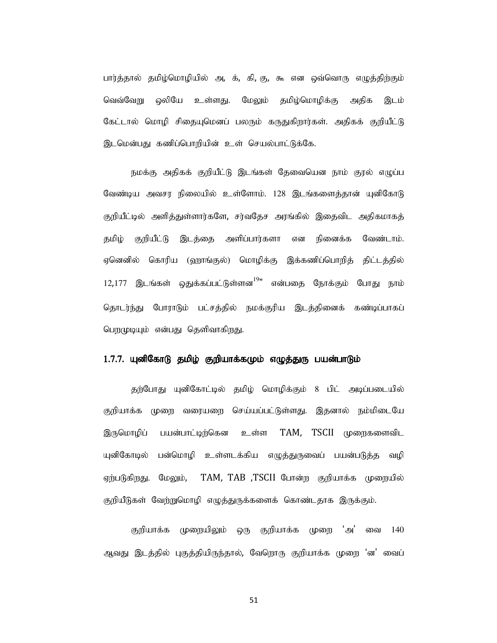பார்த்தால் தமிழ்மொழியில் அ, க், கி, கு, கூ என ஒவ்வொரு எழுத்திற்கும் வெவ்வேறு ஒலியே உள்ளது. மேலும் தமிழ்மொழிக்கு அதிக இடம் கேட்டால் மொழி சிதையுமெனப் பலரும் கருதுகிறார்கள். அதிகக் குறியீட்டு இடமென்பது கணிப்பொறியின் உள் செயல்பாட்டுக்கே. rல் தமிழ்மொழியில் அ, க், கி, கு, கூ என ஒவ்வொரு எழுத்திற்கும்<br>வறு ஒலியே உள்ளது. மேலும் தமிழ்மொழிக்கு அதிக இடம்<br>ல் மொழி சிதைபுமெனப் பலரும் கருதுகிறார்கள். அதிகக் குறியீட்டு<br>நமக்கு அதிகக் குறியீட்டு இடங்கள் தேவையென நாம் குரல

வேண்டிய அவசர நிலையில் உள்ளோம். 128 இடங்களைத்தான் யுனிகோடு பார்த்தால் தமிழ்மொழியில் ஆ. க், கி, கு, கூ என ஒவ்வொரு எழுத்திற்கும்<br>வெவ்வேறு ஒலியே உள்ளது. மேலும் தமிழ்மொழிக்கு அதிக இடம்<br>கேட்டால் மொழி சிதையுமெனப் பலரும் கருதுகிறார்கள். அதிகக் குறியீட்டு<br>இடமென்பது கணிப்பொறியின் உள் செயல தமிழ் குறியீட்டு இடத்தை அளிப்பார்களா என நினைக்க வேண்டாம்.<br>ஏனெனில் கொரிய (ஹாங்குல்) மொழிக்கு இக்கணிப்பொறித் திட்டத்தில்  $12,177$  இடங்கள் ஒதுக்கப்பட்டுள்ளன $^{19}$ " என்பதை நோக்கும் போது நாம் தொடர்ந்து போராடும் பட்சத்தில் நமக்குரிய இடத்தினைக் கண்டிப்பாகப் பெறமுடியும் என்பது தெளிவாகிறது.

#### 1.7.7. யுனிகோடு தமிழ் குறியாக்கமும் எழுத்துரு பயன்பாடும்

தற்போது யுனிகோட்டில் தமிழ் மொழிக்கும் 8 பிட் அடிப்படையில் குறியாக்க முறை வரையறை செய்யப்பட்டுள்ளது. இதனால் நம்மிடையே இருமொழிப் பயன்பாட்டிற்கென உள்ள TAM, TSCII முறைகளைவிட யுனிகோடில் பன்மொழி உள்ளடக்கிய எழுத்துருவைப் பயன்படுத்த வழி ஏற்படுகிறது. மேலும், TAM, TAB ,TSCII போன்ற குறியாக்க முறையில் தொடர்ந்து போராடும் பட்சத்தில் நமக்குரிய இடத்தினைக் கண்டிப்பாகப்<br>பெறமுடியும் என்பது தெளிவாகிறது.<br>1.7.7. **யுனிகோடு தமிழ் குறியாக்கமும் எழுத்துரு பயன்பாடும்**<br>தற்போக்க முறை வரையறை செய்யப்பட்டுள்ளது. இதனால் நம்மிடைபே<br>இருமொழிப

குறியாக்க முறையிலும் ஒரு குறியாக்க முறை 'அ' வை 140 ஆவது இடத்தில் புகுத்தியிருந்தால், வேறொரு குறியாக்க முறை 'ன' வைப்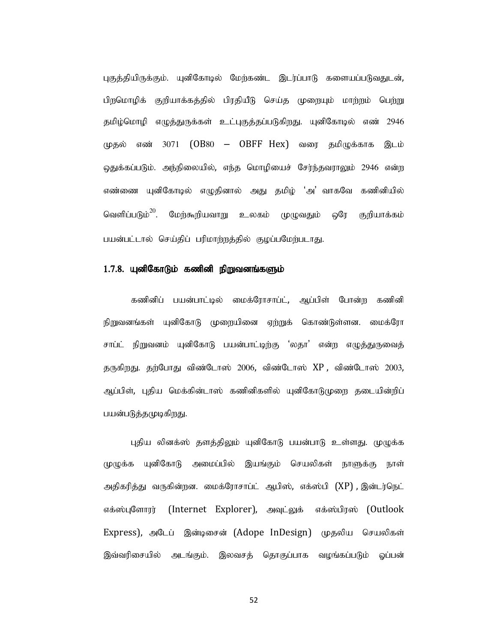புகுத்தியிருக்கும். யுனிகோடில் மேற்கண்ட இடர்ப்பாடு களையப்படுவதுடன், பிறமொழிக் குறியாக்கத்தில் பிரதியீடு செய்த முறையும் மாற்றம் பெற்று தமிழ்மொழி எழுத்துருக்கள் உட்புகுத்தப்படுகிறது. யுனிகோடில் எண் 2946 முதல் எண் 3071 (OB80 – OBFF Hex) வரை தமிழுக்காக இடம் ஒதுக்கப்படும். அந்நிலையில், எந்த மொழியைச் சேர்ந்தவராலும் 2946 என்ற எண்ணை யுனிகோடில் எழுதினால் அது தமிழ் 'அ' வாகவே கணினியில் வெளிப்படும் $^{20}$ . மேற்கூறியவாறு உலகம் முழுவதும் ஒரே குறியாக்கம் பயன்பட்டால் செய்திப் பரிமாற்றத்தில் குழப்பமேற்படாது.

#### $1.7.8$ . யுனிகோடும் கணினி நிறுவனங்களும்

கணினிப் பயன்பாட்டில் மைக்ரோசாப்ட், ஆப்பிள் போன்ற கணினி நிறுவனங்கள் யுனிகோடு முறையினை ஏற்றுக் கொண்டுள்ளன. மைக்ரோ சாப்ட் நிறுவனம் யுனிகோடு பயன்பாட்டிற்கு 'லதா' என்ற எழுத்துருவைத் தருகிறது. தற்போது விண்டோஸ் 2006, விண்டோஸ் XP , விண்டோஸ் 2003, ஆப்பிள், புதிய மெக்கின்டாஸ் கணினிகளில் யுனிகோடுமுறை தடையின்றிப் பயன்படுத்தமுடிகிறது.

புதிய லினக்ஸ் தளத்திலும் யுனிகோடு பயன்பாடு உள்ளது. முழுக்க முழுக்க யுனிகோடு அமைப்பில் இயங்கும் செயலிகள் நாளுக்கு நாள் அதிகரித்து வருகின்றன. மைக்ரோசாப்ட் ஆபிஸ், எக்ஸ்பி (XP),இன்டர்நெட் எக்ஸ்புளோரர் (Internet Explorer), அவுட்லுக் எக்ஸ்பிரஸ் (Outlook Express), அடேப் இன்டிசைன் (Adope InDesign) முதலிய செயலிகள் இவ்வரிசையில் அடங்கும். இலவசக் கொகுப்பாக வமங்கப்படும் ஒப்பன்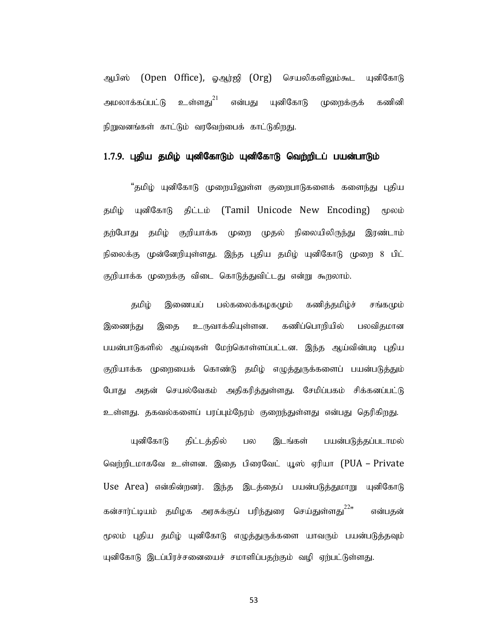ஆபிஸ் (Open Office), ஓஆர்ஜி (Org) செயலிகளிலும்கூட யுனிகோடு அமலாக்கப்பட்டு உள்ளது $^{21}$  என்பது யுனிகோடு முறைக்குக் கணினி நிறுவனங்கள் காட்டும் வரவேற்பைக் காட்டுகிறது.

#### 1.7.9. புதிய தமிழ் யுனிகோடும் யுனிகோடு வெற்றிடப் பயன்பாடும்

"தமிழ் யுனிகோடு முறையிலுள்ள குறைபாடுகளைக் களைந்து புதிய தமிழ் யுனிகோடு திட்டம் (Tamil Unicode New Encoding) மூலம் தற்போது தமிழ் குறியாக்க முறை முதல் நிலையிலிருந்து இரண்டாம் நிலைக்கு முன்னேறியுள்ளது. இந்த புதிய தமிழ் யுனிகோடு முறை 8 பிட் குறியாக்க முறைக்கு விடை கொடுத்துவிட்டது என்று கூறலாம்.

தமிழ் இணையப் பல்கலைக்கமகமும் கணித்தமிழ்ச் சங்கமும் இணைந்து இதை உருவாக்கியுள்ளன. கணிப்பொறியில் பலவிதமான பயன்பாடுகளில் ஆய்வுகள் மேற்கொள்ளப்பட்டன. இந்த ஆய்வின்படி புதிய குறியாக்க முறையைக் கொண்டு தமிழ் எழுத்துருக்களைப் பயன்படுத்தும் போது அதன் செயல்வேகம் அதிகரித்துள்ளது. சேமிப்பகம் சிக்கனப்பட்டு உள்ளது. தகவல்களைப் பரப்பும்நேரம் குறைந்துள்ளது என்பது தெரிகிறது.

யுனிகோடு திட்டத்தில் பல இடங்கள் பயன்படுத்தப்படாமல் வெற்றிடமாகவே உள்ளன. இதை பிரைவேட் யூஸ் ஏரியா (PUA – Private Use Area) என்கின்றனர். இந்த இடத்தைப் பயன்படுத்துமாறு யுனிகோடு கன்சார்ட்டியம் தமிழக அரசுக்குப் பரிந்துரை செய்துள்ளது<sup>22</sup>" என்பதன் மூலம் புதிய தமிழ் யுனிகோடு எழுத்துருக்களை யாவரும் பயன்படுத்தவும் யுனிகோடு இடப்பிரச்சனையைச் சமாளிப்பதற்கும் வழி ஏற்பட்டுள்ளது.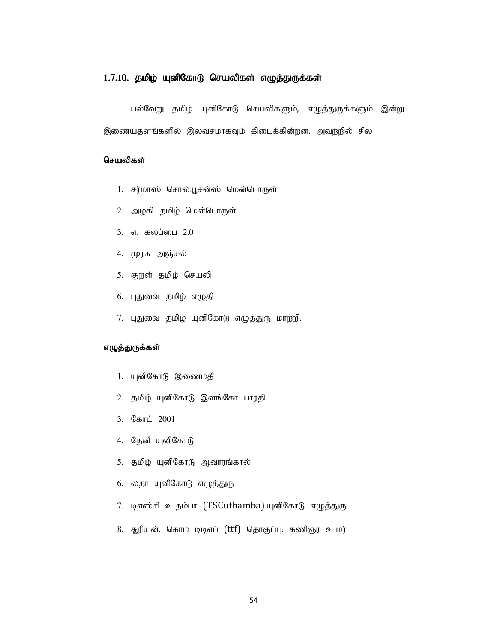#### $1.7.10.$  தமிழ் யுனிகோடு செயலிகள் எழுத்துருக்கள்

பல்வேறு தமிழ் யுனிகோடு செயலிகளும், எழுத்துருக்களும் இன்று இணையதளங்களில் இலவசமாகவும் கிடைக்கின்றன. அவற்றில் சில **1.7.10. தமிழ் யுனிகோடு செயலிகள் எழுத்துருக்கள்**<br>பல்வேறு தமிழ் யுனிகோடு செயலிகளும், எழுத்துருக்களும் இன்று<br>இணையதளங்களில் இலவசமாகவும் கிடைக்கின்றன. அவற்றில் சில<br>**செயலிகள்**<br>1. சர்மாஸ் சொல்யூசன்ஸ் மென்பொருள்<br>2. அழகி தமிழ் ம **10. தமிழ் யுனிகோடு செயலிகள் எழுத்துருக்கள்**<br>பல்வேறு தமிழ் யுனிகோடு செயலிகளும், எழுத்துருக்களும் இன்<br>ணயதளங்களில் இலவசமாகவும் கிடைக்கின்றன. அவற்றில் சில<br>**பலிகள்**<br>1. சர்மாஸ் சொல்பூசன்ஸ் மென்பொருள்<br>2. அழகி தமிழ் மென்பொருள்<br>3 1**0. தமிழ் யுனிகோடு செயலிகள் எழுத்துருக்கள்**<br>பல்வேறு தமிழ் யுனிகோடு செயலிகளும், எழுத்துருக்களும் இன்<br>ணயதளங்களில் இலவசமாகவும் கிடைக்கின்றன. அவற்றில் சில<br>**பலிகள்**<br>2. அழகி தமிழ் மென்பொருள்<br>2. அழகி தமிழ் மென்பொருள்<br>3. எ. கலப் **10. தமிழ் யுனிகோடு செயலிகள் எழுத்துருக்கள்**<br>பல்வேறு தமிழ் யுனிகோடு செயலிகளும், எழுத்துருக்களும் இன்<br>ணயதளங்களில் இலவசமாகவும் கிடைக்கின்றன. அவற்றில் சில<br>**பலிகள்**<br>1. சர்மாஸ் சொல்யூசன்ஸ் மென்பொருள்<br>2. அழகி தமிழ் மென்பொருள்<br>3 **10. தமிழ் யுனிகோடு செயலிகள் எழுத்துருக்கள்**<br>பல்வேறு தமிழ் யுனிகோடு செயலிகளும், எழுத்துருக்களும் இன்<br>ணயதளங்களில் இலவசமாகவும் கிடைக்கின்றன. அவற்றில் சில<br>**பலிகள்**<br>1. சர்மாஸ் சொல்யூசன்ஸ் மென்பொருள்<br>2. அழகி தமிழ் மென்பொருள்<br>3 பல்வேறு தமிழ் யுனிகோடு செயலிகளும், எழுத்துருக்களும் இன்<br>ணயதளங்களில் இலவசமாகவும் கிடைக்கின்றன. அவற்றில் சில<br>**பலிகள்**<br>1. சர்மாஸ் சொல்யூசன்ஸ் மென்பொருள்<br>2. அழகி தமிழ் மென்பொருள்<br>3. எ. கலப்பை 2.0<br>4. முரசு அஞ்சல்<br>5. குறள் தமிழ ரணயதளங்களில் இலவசமாகவும் கிடைக்கின்றன. அவற்றில் சில<br>**பலிகள்**<br>1. சர்மாஸ் சொல்யூசன்ஸ் மென்பொருள்<br>2. அழகி தமிழ் மென்பொருள்<br>3. எ. கலப்பை 2.0<br>4. முரசு அஞ்சல்<br>5. குறள் தமிழ் செயலி<br>6. புதுவை தமிழ் எழுதி<br>7. புதுவை தமிழ் எழுதி

- 
- 
- 
- 
- 
- 
- 1. சர்மாஸ் சொல்யூசன்ஸ் மென்பொருள்<br>2. அழகி தமிழ் மென்பொருள்<br>3. எ. கலப்பை 2.0<br>6. புதுவை தமிழ் செயலி<br>6. புதுவை தமிழ் எழுதி<br>7. புதுவை தமிழ் புனிகோடு எழுத்துரு மாற்றி.<br>**த்துருக்கள்**<br>1. யுனிகோடு இணைமதி<br>2. தமிழ் யுனிகோடு இளங்கோ 2. அழகி தமிழ் மென்பொருள்<br>2. அழகி தமிழ் மென்பொருள்<br>3. எ. கலப்பை 2.0<br>6. புதுவை தமிழ் செயலி<br>6. புதுவை தமிழ் எழுதி<br>7. புதுவை தமிழ் யுனிகோடு எழுத்துரு மாற்றி.<br>**த்துருக்கள்**<br>1. யுனிகோடு இணைமதி<br>2. தமிழ் யுனிகோடு இளங்கோ பாரதி<br>3. உ கூடுமை உடைக்கோரும்<br>3. எ. கலப்பை 2.0<br>6. புதுவை தமிழ் செயலி<br>6. புதுவை தமிழ் எழுதி<br>7. புதுவை தமிழ் புனிகோடு எழுத்துரு மாற்றி.<br>**த்துருக்கள்**<br>1. புனிகோடு இணைமதி<br>2. தமிழ் புனிகோடு இளங்கோ பாரதி<br>3. கோட் 2001<br>4. தேனீ புனிகோடு .. எ கைகை உச<br>5. குறள் தமிழ் செயலி<br>6. புதுவை தமிழ் எழுதி<br>7. புதுவை தமிழ் யுனிகோடு எழுத்துரு மாற்றி.<br>**த்துருக்கள்**<br>1. யுனிகோடு இணைமதி<br>2. தமிழ் யுனிகோடு இளங்கோ பாரதி<br>3. கோட் 2001<br>4. தேனீ யுனிகோடு இளங்கோ பாரதி<br>5. தமிழ் யுனிகோ

#### எழுத்துருக்கள்

- 
- 
- 
- 
- 
- 
- ். குறள் தமிழ் செயலி<br>6. புதுவை தமிழ் எழுதி<br>7. புதுவை தமிழ் யுனிகோடு எழுத்துரு மாற்றி.<br>**த்துருக்கள்**<br>1. யுனிகோடு இணைமதி<br>2. தமிழ் யுனிகோடு இளங்கோ பாரதி<br>3. கோட் 2001<br>4. தேனீ யுனிகோடு எழுத்துரு<br>6. தைா யுனிகோடு எழுத்துரு<br>6. தை 7. புதுவை தமிழ் எழுதி<br>6. புதுவை தமிழ் எழுதி<br>**த்துருக்கள்**<br>1. யுனிகோடு இணைமதி<br>2. தமிழ் யுனிகோடு இளங்கோ பாரதி<br>3. கோட் 2001<br>4. தேனி யுனிகோடு இளங்கோல்<br>5. தமிழ் யுனிகோடு ஆவாரங்கால்<br>6. லதா யுனிகோடு எழுத்துரு<br>7. டிஎஸ்சி உதம்பா ( 7. புதுவை தமிழ் யுனிகோடு எழுத்துரு மாற்றி.<br>**த்தருக்கள்**<br>1. யுனிகோடு இணைமதி<br>2. தமிழ் யுனிகோடு இளங்கோ பாரதி<br>3. தோட் 2001<br>4. தேனி யுனிகோடு<br>5. தமிழ் யுனிகோடு<br>6. தைா புனிகோடு எழுத்தரு<br>7. டிஎஸ்சி உதம்பா (TSCuthamba) யுனிகோடு எழ **த்துருக்கள்**<br>1. யுனிகோடு இணைமதி<br>2. தமிழ் யுனிகோடு இளங்கோ பாரதி<br>3. கோட் 2001<br>4. தேனீ யுனிகோடு ஆவாரங்கால்<br>6. லதா யுனிகோடு எழுத்துரு<br>7. டிஎஸ்சி உதம்பா (TSCuthamba)யுனிகோடு எழுத்துரு<br>7. டிஎஸ்சி உதம்பா (TSCuthamba)யுனிகோடு எழ
-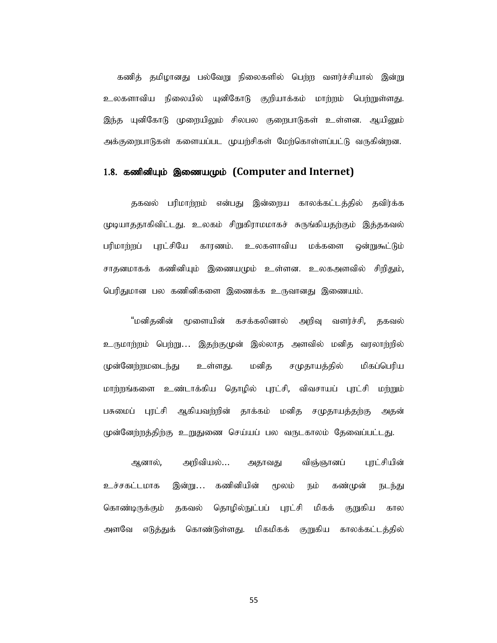கணித் தமிழானது பல்வேறு நிலைகளில் பெற்ற வளர்ச்சியால் இன்று உலகளாவிய நிலையில் யுனிகோடு குறியாக்கம் மாற்றம் பெற்றுள்ளது. இந்த யுனிகோடு முறையிலும் சிலபல குறைபாடுகள் உள்ளன. ஆயினும் அக்குறைபாடுகள் களையப்பட முயற்சிகள் மேற்கொள்ளப்பட்டு வருகின்றன.

#### 1.8. கணினியும் இணையமும் (Computer and Internet)

தகவல் பரிமாற்றம் என்பது இன்றைய காலக்கட்டத்தில் தவிர்க்க முடியாததாகிவிட்டது. உலகம் சிறுகிராமமாகச் சுருங்கியதற்கும் இத்தகவல் பரிமாற்றப் புரட்சியே காரணம். உலகளாவிய மக்களை ஒன்றுகூட்டும் சாதனமாகக் கணினியும் இணையமும் உள்ளன. உலகஅளவில் சிறிதும், பெரிதுமான பல கணினிகளை இணைக்க உருவானது இணையம்.

"மனிதனின் மூளையின் கசக்கலினால் அறிவு வளர்ச்சி, தகவல் உருமாற்றம் பெற்று… இதற்குமுன் இல்லாத அளவில் மனித வரலாற்றில் முன்னேற்றமடைந்து உள்ளது. மனித சமுதாயத்தில் மிகப்பெரிய மாற்றங்களை உண்டாக்கிய தொழில் புரட்சி, விவசாயப் புரட்சி மற்றும் பசுமைப் புரட்சி ஆகியவற்றின் தாக்கம் மனித சமுதாயத்தற்கு அதன் முன்னேற்றத்திற்கு உறுதுணை செய்யப் பல வருடகாலம் தேவைப்பட்டது.

ஆனால், அறிவியல்... அதாவது விஞ்ஞானப் புரட்சியின் உச்சகட்டமாக இன்று... கணினியின் மூலம் நம் கண்முன் நடந்து கொண்டிருக்கும் தகவல் தொழில்நுட்பப் புரட்சி மிகக் குறுகிய கால அளவே எடுத்துக் கொண்டுள்ளது. மிகமிகக் குறுகிய காலக்கட்டத்தில்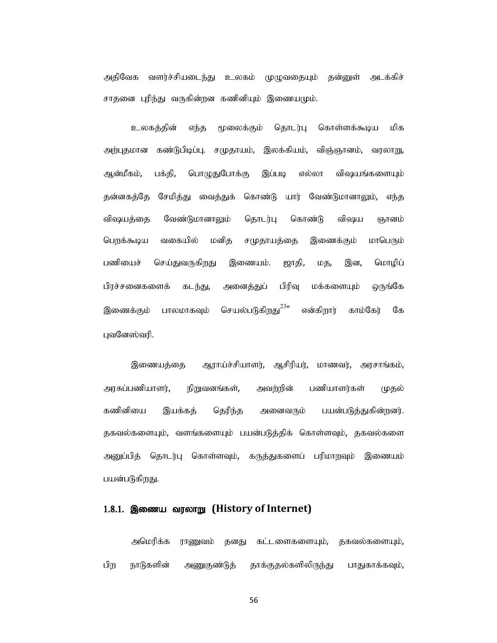அதிவேக வளர்ச்சியடைந்து உலகம் முமுவகையும் தன்னுள் அடக்கிச் சாதனை புரிந்து வருகின்றன கணினியும் இணையமும்.

உலகத்தின் எந்த மூலைக்கும் தொடர்பு கொள்ளக்கூடிய மிக அதிவேக வளர்ச்சியடைந்து உலகம் முழுவதையும் தன்னுள் அடக்கிச்<br>சாதனை புரிந்து வருகின்றன கணினியும் இணையமும்.<br>உலகத்தின் எந்த மூலைக்கும் தொடர்பு கொள்ளக்கூடிய மிக<br>அன்மீகம், பக்தி, பொழுதுபோக்கு இப்படி எல்லா விஷயங்களையும்<br>தன்னகத்தே தன்னகத்தே சேமித்து வைத்துக் கொண்டு யார் வேண்டுமானாலும், எந்த விஷயத்தை வேண்டுமானாலும் தொடர்பு கொண்டு விஷய ஞானம் பெறக்கூடிய வகையில் மனித சமுதாயத்தை இணைக்கும் மாபெரும் பணியைச் செய்துவருகிறது இணையம். ஜாதி, மத, இன, மொழிப் பிரச்சனைகளைக் கடந்து, அனைத்துப் பிரிவு மக்களையும் ஒருங்கே இணைக்கும் பாலமாகவும் செயல்படுகிறது<sup>23</sup>" என்கிறார் காம்கேர் கே புவனேஸ்வரி.

இணையத்தை ஆராய்ச்சியாளர், ஆசிரியர், மாணவர், அரசாங்கம், அரசுப்பணியாளர், நிறுவனங்கள், அவற்றின் பணியாளர்கள் முதல் கணினியை இயக்கத் தெரிந்த அனைவரும் பயன்படுத்துகின்றனர். தகவல்களையும், வளங்களையும் பயன்படுத்திக் கொள்ளவும், தகவல்களை அனுப்பித் தொடர்பு கொள்ளவும், கருத்துகளைப் பரிமாறவும் இணையம் பயன்படுகிறது.

#### 1.8.1. இணைய வரலாறு (History of Internet)

அமெரிக்க ராணுவம் தனது கட்டளைகளையும், தகவல்களையும், பிற நாடுகளின் அணுகுண்டுத் தாக்குதல்களிலிருந்து பாதுகாக்கவும்,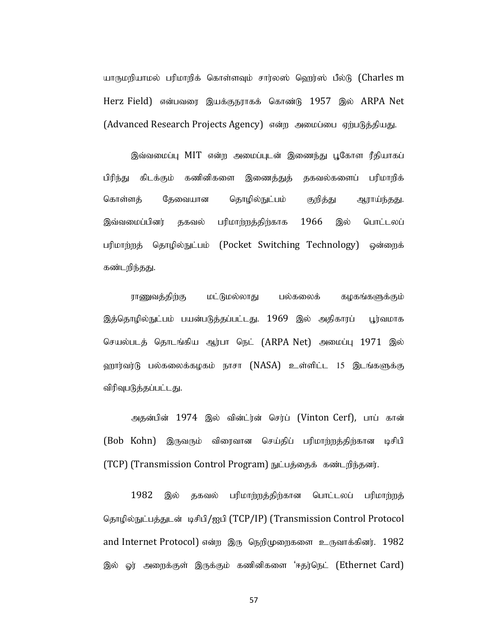யாருமறியாமல் பரிமாறிக் கொள்ளவும் சார்லஸ் ஹெர்ஸ் பீல்டு (Charles m Herz Field) என்பவரை இயக்குநராகக் கொண்டு 1957 இல் ARPA Net (Advanced Research Projects Agency) என்ற அமைப்பை ஏற்படுத்தியது.

இவ்வமைப்பு MIT என்ற அமைப்புடன் இணைந்து பூகோள ரீதியாகப் பிரிந்து கிடக்கும் கணினிகளை இணைத்துத் தகவல்களைப் பரிமாறிக் கொள்ளத் தேவையான தொழில்நுட்பம் குறித்து ஆராய்ந்தது. இவ்வமைப்பினர் தகவல் பரிமாற்றத்திற்காக 1966 இல் பொட்டலப் பரிமாற்றத் தொழில்நுட்பம் (Pocket Switching Technology) ஒன்றைக் கண்டறிந்தது.

ராணுவத்திற்கு மட்டுமல்லாது பல்கலைக் கழகங்களுக்கும் இத்தொழில்நுட்பம் பயன்படுத்தப்பட்டது. 1969 இல் அதிகாரப் பூர்வமாக செயல்படத் தொடங்கிய ஆர்பா நெட் (ARPA Net) அமைப்பு 1971 இல் ஹார்வர்டு பல்கலைக்கழகம் நாசா (NASA) உள்ளிட்ட 15 இடங்களுக்கு விரிவுபடுத்தப்பட்டது.

அதன்பின் 1974 இல் வின்ட்ர்ன் செர்ப் (Vinton Cerf), பாப் கான் (Bob Kohn) இருவரும் விரைவான செய்திப் பரிமாற்றத்திற்கான டிசிபி (TCP) (Transmission Control Program) நுட்பத்தைக் கண்டறிந்தனர்.

1982 இல் தகவல் பரிமாற்றத்திற்கான பொட்டலப் பரிமாற்றத் தொழில்நுட்பத்துடன் டிசிபி/ஐபி (TCP/IP) (Transmission Control Protocol and Internet Protocol) என்ற இரு நெறிமுறைகளை உருவாக்கினர். 1982 இல் ஓர் அறைக்குள் இருக்கும் கணினிகளை 'ஈதர்நெட் (Ethernet Card)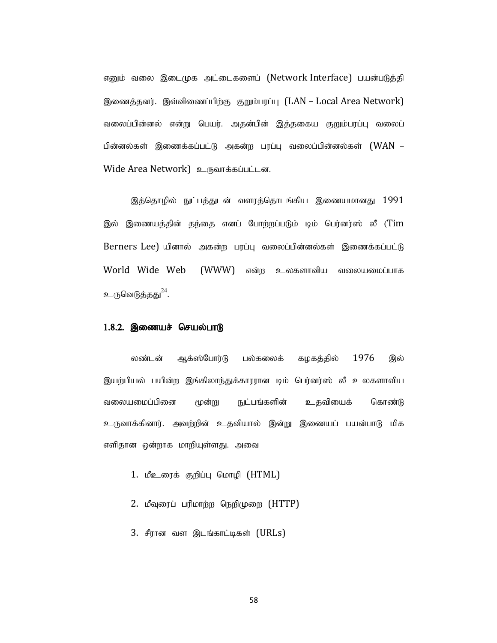எனும் வலை இடைமுக அட்டைகளைப் (Network Interface) பயன்படுத்தி இணைத்தனர். இவ்விணைப்பிற்கு குறும்பரப்பு (LAN – Local Area Network) வலைப்பின்னல் என்று பெயர். அதன்பின் இத்தகைய குறும்பரப்பு வலைப் பின்னல்கள் இணைக்கப்பட்டு அகன்ற பரப்பு வலைப்பின்னல்கள் (WAN – Wide Area Network) உருவாக்கப்பட்டன. எனும் வலை இடைமுக அட்டைகளைப் (Network Interface) பயன்படுத்தி<br>இணைத்தனர். இவ்விணைப்பிற்கு குறும்பரப்பு (LAN – Local Area Network)<br>வலைப்பின்னல் என்று பெயர். அதன்பின் இத்தகைய குறும்பரப்பு வலைப்<br>Olன்னல்கள் இணைக்கப்பட்டு அகன்ற ப

இத்தொழில் நுட்பத்துடன் வளரத்தொடங்கிய இணையமானது 1991  $Berners$  Lee) யினால் அகன்ற பரப்பு வலைப்பின்னல்கள் இணைக்கப்பட்டு World Wide Web (WWW) என்ற உலகளாவிய வலையமைப்பாக உருவெடுத்தது<sup>24</sup>. .

#### $1.8.2.$  இணையச் செயல்பாடு

லண்டன் ஆக்ஸ்போர்டு பல்கலைக் கழகத்தில் 1976 இல் இயற்பியல் பயின்ற இங்கிலாந்துக்காரரான டிம் பெர்னர்ஸ் லீ உலகளாவிய வலையமைப்பினை மூன்று நுட்பங்களின் உதவியைக் கொண்டு உருவாக்கினார். அவற்றின் உதவியால் இன்று இணையப் பயன்பாடு மிக எளிதான ஒன்றாக மாறியுள்ளது. அவை wide web (www) என்ற உலகளாவய வலையமையாக<br>"டுத்தது<sup>24</sup>.<br>**இணையச் செயல்பாடு**<br>லண்டன் ஆக்ஸ்போர்டு பல்கலைக் கழகத்தில் 1976 இல்<br>யல் பயின்ற இங்கிலாந்துக்காரரான டிம் பெர்னர்ஸ் லீ உலகளாவிய<br>எமைப்பினை மூன்று நுட்பங்களின் உதவியைக் கொண்ட தெ**ணையச் செயல்பாடு**<br>இ**ணையச் செயல்பாடு**<br>லண்டன் ஆக்ஸ்போர்டு பல்கலைக் கழகத்தில் 1976 இல்<br>பல் பயின்ற இங்கிலாந்துக்காரரான டிம் பெர்னர்ஸ் லீ உலகளாவிய<br>க்கினார். அவற்றின் உதவியால் இன்று இணையப் பயன்பாடு மிக<br>க்கினார். அவற்றின் உதவி

- 
- 
- 3. சீரான வள இடங்காட்டிகள் (URLs)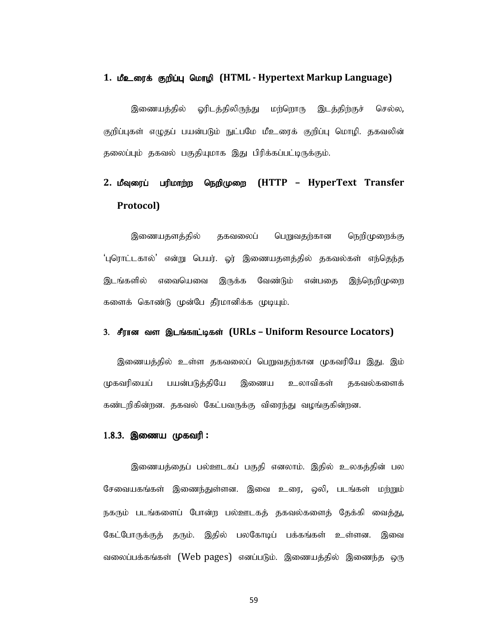#### 1. மீஉரைக் குறிப்பு மொழி (HTML - Hypertext Markup Language)

1. **மீஉரைக் குறிப்பு மொழி (HTML - Hypertext Markup Language)**<br>இணையத்தில் - ஓரிடத்திலிருந்து - மற்றொரு - இடத்திற்குச் - செல்ல,<br>குறிப்புகள் எழுதப் பயன்படும் நுட்பமே மீஉரைக் குறிப்பு மொழி. தகவலின்<br>தலைப்பும் தகவல் பகுதியுமாக தலைப்பும் தகவல் பகுதியுமாக இது பிரிக்கப்பட்டிருக்கும்.

# 2. மீவுரைப் பரிமாற்ற நெறிமுறை (HTTP – HyperText Transfer Protocol)

இணையதளத்தில் தகவலைப் பெறுவதற்கான நெறிமுறைக்கு 'புரொட்டகால்' என்று பெயர். ஓர் இணையதளத்தில் தகவல்கள் எந்தெந்த இடங்களில் எவையெவை இருக்க வேண்டும் என்பதை இந்நெறிமுறை களைக் கொண்டு முன்பே தீர்மானிக்க முடியும்.

#### 3. சீரான வள இடங்காட்டிகள் (URLs – Uniform Resource Locators)

இணையத்தில் உள்ள தகவலைப் பெறுவதற்கான முகவரியே இது. இம் முகவரியைப் பயன்படுத்தியே இணைய உலாவிகள் தகவல்களைக் கண்டறிகின்றன. தகவல் கேட்பவருக்கு விரைந்து வழங்குகின்றன.

#### $1.8.3.$  இணைய முகவரி :

இணையத்தைப் பல்ஊடகப் பகுதி எனலாம். இதில் உலகத்தின் பல சேவையகங்கள் இணைந்துள்ளன. இவை உரை, ஒலி, படங்கள் மற்றும் நகரும் படங்களைப் போன்ற பல்ஊடகத் தகவல்களைத் தேக்கி வைத்து, கேட்போருக்குத் தரும். இதில் பலகோடிப் பக்கங்கள் உள்ளன. இவை வலைப்பக்கங்கள் (Web pages) எனப்படும். இணையத்தில் இணைந்த ஒரு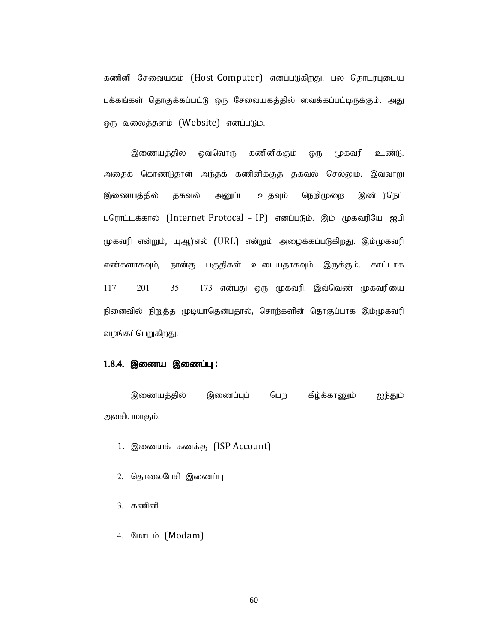கணினி சேவையகம் (Host Computer) எனப்படுகிறது. பல தொடர்புடைய பக்கங்கள் தொகுக்கப்பட்டு ஒரு சேவையகத்தில் வைக்கப்பட்டிருக்கும். அது ஒரு வலைத்தளம் (Website) எனப்படும்.

இணையத்தில் ஒவ்வொரு கணினிக்கும் ஒரு முகவரி உண்டு. அதைக் கொண்டுதான் அந்தக் கணினிக்குத் தகவல் செல்லும். இவ்வாறு இணையத்தில் தகவல் அனுப்ப உதவும் நெறிமுறை இண்டர்நெட் புரொட்டக்கால் (Internet Protocal – IP) எனப்படும். இம் முகவரியே ஐபி முகவரி என்றும், யுஆர்எல் (URL) என்றும் அழைக்கப்படுகிறது. இம்முகவரி எண்களாகவும், நான்கு பகுதிகள் உடையதாகவும் இருக்கும். காட்டாக  $117 - 201 - 35 - 173$  என்பது ஒரு முகவரி. இவ்வெண் முகவரியை நினைவில் நிறுத்த முடியாதென்பதால், சொற்களின் தொகுப்பாக இம்முகவரி வழங்கப்பெறுகிறது. பத்தில் தகவல் அனுப்ப உதவும் நெறிமுறை இண்டர்நெட்<br>.க்கால் (Internet Protocal – IP) எனப்படும். இம் முகவரியே ஐபி<br>| என்றும், யுஆர்எல் (URL) என்றும் அழைக்கப்படுகிறது. இம்முகவரி<br>|<br>|||கஷம், நூன்கு பகுதிகள் உடையதாகவும் இருக்கும். — 201 — 35 — 173 என்பது ஒரு முகவரி. இவ்வெண் முகவரின<br>வைவில் நிறுத்த முடியாதென்பதால், சொற்களின் தொகுப்பாக இம்முக<br>ங்கப்பெறுகிறது.<br>**4. இணைய இணைப்பு :**<br>தியமாகும்.<br>பியமாகும்.<br>பியமாகும்.<br>1. இணையக் கணக்கு (ISP Account)<br>2. தொலைபேச னவில் நிறுத்த முடியாதென்பதால், சொற்களின் தொகுப்பாக இம்முக<br>ங்கப்பெறுகிறது.<br>4. **இணைய இணைப்பு :**<br>3. தியமாகும்.<br>சியமாகும்.<br>1. இணையக் கணக்கு (ISP Account)<br>2. தொலைபேசி இணைப்பு<br>2. தொலைபேசி இணைப்பு<br>3. கணினி

#### $1.8.4.$  இணைய இணைப்பு:

அவசியமாகும். ங்கப்பெறுகிறது.<br>**4. இணைய இணைப்பு :**<br>இணையத்தில் இணைப்பு பெற கீழ்க்காணும் ஐந்த<br>பியமாகும்.<br>1. இணையக் கணக்கு (ISP Account)<br>2. தெரலைபேசி இணைப்பு<br>3. கணினி<br>4. மோடம் (Modam)

- 1. இணையக் கணக்கு (ISP Account)
- 
- 
-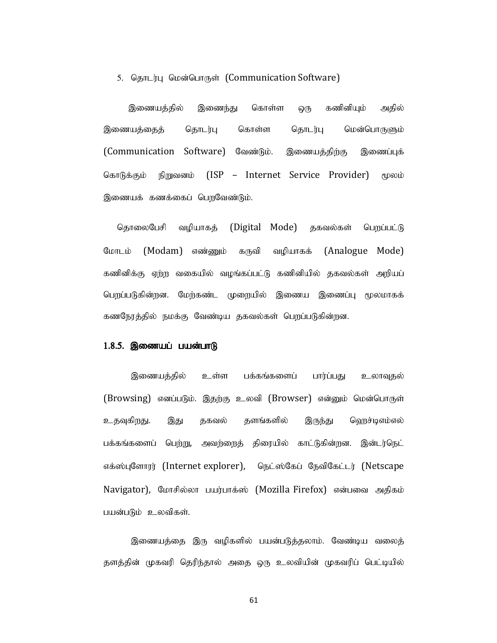5. தொடர்பு மென்பொருள் (Communication Software)<br>இணையத்தில் இணைந்து கொள்ள ஒரு கணினியும் அதில்<br>பணயத்தைத் தொடர்பு கொள்ள தொடர்பு மென்பொருளும் இணையத்தில் இணைந்து கொள்ள ஒரு கணினியும் அதில் இணையத்தைத் தொடர்பு கொள்ள தொடர்பு மென்பொருளும் (Communication Software) வேண்டும். இணையத்திற்கு இணைப்புக் கொடுக்கும் நிறுவனம் (ISP – Internet Service Provider) மூலம் இணையக் கணக்கைப் பெறவேண்டும்.

தொலைபேசி வழியாகத் (Digital Mode) தகவல்கள் பெறப்பட்டு மோடம் (Modam) எண்ணும் கருவி வழியாகக் (Analogue Mode) கணினிக்கு ஏற்ற வகையில் வழங்கப்பட்டு கணினியில் தகவல்கள் அறியப் பெறப்படுகின்றன. மேற்கண்ட முறையில் இணைய இணைப்பு மூலமாகக் கணநேரத்தில் நமக்கு வேண்டிய தகவல்கள் பெறப்படுகின்றன.

#### $1.8.5.$  இணையப் பயன்பாடு

இணையத்தில் உள்ள பக்கங்களைப் பார்ப்பது உலாவுதல் (Browsing) எனப்படும். இதற்கு உலவி (Browser) என்னும் மென்பொருள் உதவுகிறது. இது தகவல் தளங்களில் இருந்து ஹெச்டிஎம்எல் பக்கங்களைப் பெற்று, அவற்றைத் திரையில் காட்டுகின்றன. இன்டர்நெட் எக்ஸ்புளோரர் (Internet explorer), நெட்ஸ்கேப் நேவிகேட்டர் (Netscape Navigator), மோசில்லா பயர்பாக்ஸ் (Mozilla Firefox) என்பவை அதிகம் பயன்படும் உலவிகள்.

இணையத்தை இரு வழிகளில் பயன்படுத்தலாம். வேண்டிய வலைத் தளத்தின் முகவரி தெரிந்தால் அதை ஒரு உலவியின் முகவரிப் பெட்டியில்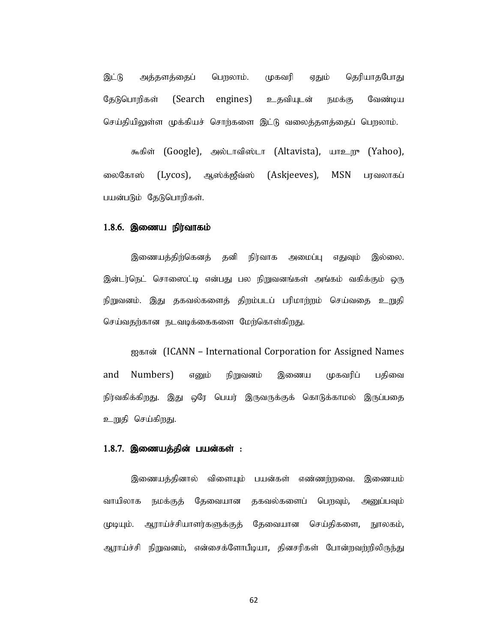இட்டு அக்களக்கைப் பெறலாம். முகவரி எதும் தெரியாகபோது தேடுபொறிகள் (Search engines) உதவியுடன் நமக்கு வேண்டிய செய்தியிலுள்ள முக்கியச் சொற்களை இட்டு வலைத்தளத்தைப் பெறலாம். இட்டு அத்தளத்தைப் பெறலாம். முகவரி ஏதும் தெரியாதபோது<br>தேடுபொறிகள் (Search engines) உதவியுடன் நமக்கு வேண்டிய<br>செய்தியிலுள்ள முக்கியச்-சொற்களை இட்டு வலைத்தளத்தைப் பெறலாம்.<br>-<br>கைகோஸ் (Lycos), ஆஸ்கஜீவ்ஸ் (Askjeeves), MSN பரவலாகப்

கூகிள் (Google), அல்டாவிஸ்டா (Altavista), யாஉறூ (Yahoo), பயன்படும் தேடுபொறிகள்.

#### $1.8.6.$  இணைய நிர்வாகம்

இணையத்திற்கெனத் தனி நிர்வாக அமைப்பு எதுவும் இல்லை. இன்டர்நெட் சொஸைட்டி என்பது பல நிறுவனங்கள் அங்கம் வகிக்கும் ஒரு நிறுவனம். இது தகவல்களைத் திறம்படப் பரிமாற்றம் செய்வதை <u>உறு</u>தி செய்வதற்கான நடவடிக்கைகளை மேற்கொள்கிறது.

ஐகான் (ICANN – International Corporation for Assigned Names and Numbers) எனும் நிறுவனம் இணைய முகவரிப் பதிவை நிர்வகிக்கிறது. இது ஒரே பெயர் இருவருக்குக் கொடுக்காமல் இருப்பதை உறுதி செய்கிறது.

#### $1.8.7.$  இணையத்தின் பயன்கள் :

இணையத்தினால் விளையும் பயன்கள் எண்ணற்றவை. இணையம் வாயிலாக நமக்குத் தேவையான தகவல்களைப் பெறவும், அனுப்பவும் முடியும். ஆராய்ச்சியாளர்களுக்குத் தேவையான செய்திகளை, நூலகம், ஐகான் (ICANN – International Corporation for Assigned Names<br>and Numbers) எனும் நிறுவனம் இணைய முகவரிப் பதிவை<br>நிர்வகிக்கிறது. இது ஒரே பெயர் இருவருக்குக் கொடுக்காமல் இருப்பதை<br>உறுதி செய்கிறது.<br>உறுதி செய்கிறது.<br>மாயிலாக நமக்க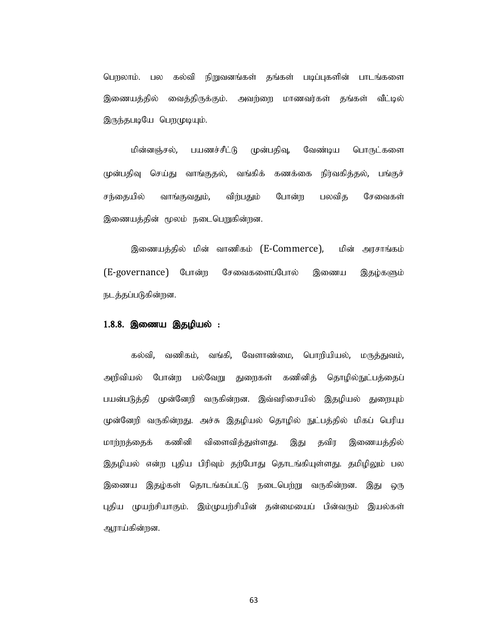பெறலாம். பல கல்வி நிறுவனங்கள் கங்கள் படிப்புகளின் பாடங்களை இணையத்தில் வைத்திருக்கும். அவற்றை மாணவர்கள் தங்கள் வீட்டில் இருந்தபடியே பெறமுடியும்.

மின்னஞ்சல், பயணச்சீட்டு முன்பதிவு, வேண்டிய பொருட்களை முன்பதிவு செய்து வாங்குதல், வங்கிக் கணக்கை நிர்வகித்தல், பங்குச் சந்தையில் வாங்குவதும், விற்பதும் போன்ற பலவித சேவைகள் இணையத்தின் மூலம் நடைபெறுகின்றன.

இணையத்தில் மின் வாணிகம் (E-Commerce), மின் அரசாங்கம் (E-governance) போன்ற சேவைகளைப்போல் இணைய இதழ்களும் நடத்தப்படுகின்றன.

 $\bf 1.8.8.$  **இணைய இதழியல் :**<br>- கல்வி, வணிகம், வங்கி, வேளாண்மை, பொறியியல், மருத்துவம், அறிவியல் போன்ற பல்வேறு துறைகள் கணினித் தொழில்நுட்பத்தைப் பயன்படுத்தி முன்னேறி வருகின்றன. இவ்வரிசையில் இதழியல் துறையும் முன்னேறி வருகின்றது. அச்சு இதழியல் தொழில் நுட்பத்தில் மிகப் பெரிய மாற்றத்தைக் கணினி விளைவித்துள்ளது. இது தவிர இணையத்தில் இதழியல் என்ற புதிய பிரிவும் தற்போது தொடங்கியுள்ளது. தமிழிலும் பல இணைய இதழ்கள் தொடங்கப்பட்டு நடைபெற்று வருகின்றன. இது ஒரு புதிய முயற்சியாகும். இம்முயற்சியின் தன்மையைப் பின்வரும் இயல்கள் ஆராய்கின்றன.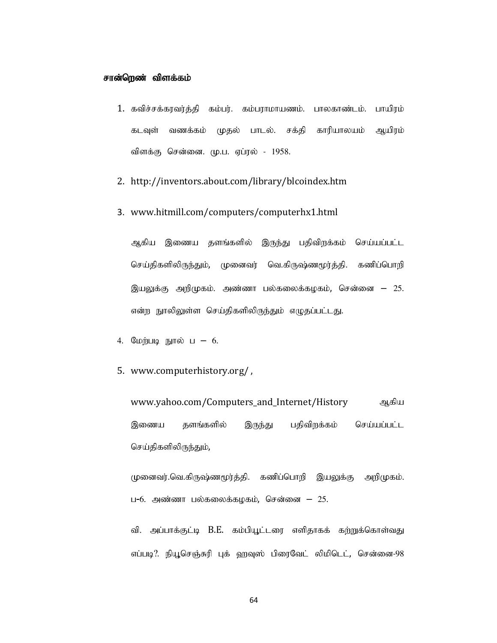#### சான்றெண் விளக்கம்

- 1. கவிச்சக்கரவர்த்தி கம்பர். கம்பராமாயணம். பாலகாண்டம். பாயிரம் கடவுள் வணக்கம் முதல் பாடல். சக்தி காரியாலயம் ஆயிரம் விளக்கு சென்னை. மு.ப. ஏப்ரல் - 1958. **ள்றெண் விளக்கம்**<br>1. கவிச்சக்கரவர்த்தி கம்பர். கம்பராமாயணம். பாலகாண்டம். பாயிரம்<br>கடவுள் வணக்கம் முதல் பாடல். சக்தி காரியாலயம் ஆயிரம்<br>விளக்கு சென்னை. மு.ப. ஏப்ரல் - 1958.<br>2. http://inventors.about.com/library/blcoindex.htm
- 
- 3. www.hitmill.com/computers/computerhx1.html

ஆகிய இணைய தளங்களில் இருந்து பதிவிறக்கம் செய்யப்பட்ட செய்திகளிலிருந்தும், முனைவர் வெ.கிருஷ்ணமூர்த்தி. கணிப்பொறி இயலுக்கு அறிமுகம். அண்ணா பல்கலைக்கழகம், சென்னை <del>–</del> 25. என்ற நூலிலுள்ள செய்திகளிலிருந்தும் எழுதப்பட்டது. விளக்கு சென்னை. மு.ப. ஏப்ரல் - 1958.<br>2. http://inventors.about.com/library/blcoindex.htm<br>3. www.hitmill.com/computers/computerhx1.html<br>3. www.hitmill.com/computers/computerhx1.html<br>ஆகிய இணைய தளங்களில் இருந்து பதிவிறக்கம் 2. http://inventors.about.com/library/blcoindex.htm<br>3. www.hitmill.com/computers/computerhx1.html<br>23. www.hitmill.com/computers/computerhx1.html<br>23. www.mpigramu.<br>5. www.computerhistory.org/<br>4. மேற்படி நூல் ப – 6.<br>5. www

- 
- 

www.yahoo.com/Computers\_and\_Internet/History ஆகிய இணைய தளங்களில் இருந்து பதிவிறக்கம் செய்யப்பட்ட செய்திகளிலிருந்தும்,<br>முனைவர்.வெ.கிருஷ்ணமூர்த்தி. கணிப்பொறி இயலுக்கு அறிமுகம்.

ப–6. அண்ணா பல்கலைக்கழகம், சென்னை  $-25$ .

வி. அப்பாக்குட்டி B.E. கம்பியூட்டரை எளிதாகக் கற்றுக்கொள்வது எப்படி?. நியூசெஞ்சுரி புக் ஹவுஸ் பிரைவேட் லிமிடெட், சென்னை-98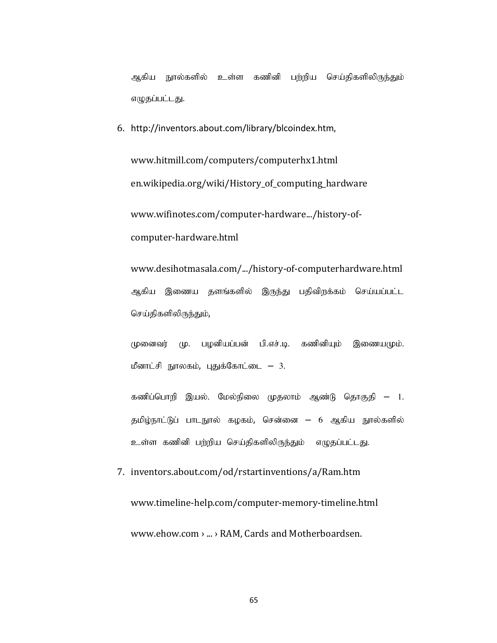அகிய நூல்களில் உள்ள கணினி பற்றிய செய்திகளிலிருந்தும் எழுதப்பட்டது.

6. http://inventors.about.com/library/blcoindex.htm, www.hitmill.com/computers/computerhx1.html en.wikipedia.org/wiki/History\_of\_computing\_hardware www.wifinotes.com/computer-hardware.../history-ofcomputer-hardware.html k Postiplical Computers/computernx1.ntml<br>ren.wikipedia.org/wiki/History\_of\_computing\_hardware<br>www.wifinotes.com/computer-hardware.../history-of-<br>computer-hardware.html<br>www.desihotmasala.com/.../history-of-computerhardware

www.desihotmasala.com/.../history-of-computerhardware.html ஆகிய இணைய தளங்களில் இருந்து பதிவிறக்கம் செய்யப்பட்ட செய்திகளிலிருந்தும், www.desihotmasala.com/.../history-of-computerhardware.html<br>ஆகிய இணைய தளங்களில் இருந்து பதிவிறக்கம் செய்யப்பட்ட<br>செய்திகளிலிருந்தும்,<br>முனைவர் மு. பழனியப்பன் பி.எச்.டி. கணினியும் இணையமும்.<br>மீனாட்சி நூலகம், புதுக்கோட்டை – 3.<br>

முனைவர் மு. பழனியப்பன் பி.எச்.டி. கணினியும் இணையமும்.

கணிப்பொறி இயல். மேல்நிலை முதலாம் ஆண்டு தொகுதி – 1. தமிழ்நாட்டுப் பாடநூல் கழகம், சென்னை – 6 ஆகிய நூல்களில்

www.timeline-help.com/computer-memory-timeline.html www.ehow.com › ... › RAM, Cards and Motherboardsen.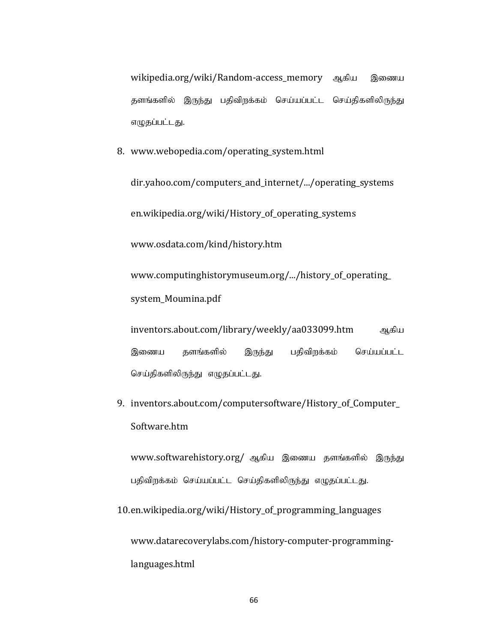wikipedia.org/wiki/Random-access\_memory ஆகிய இணைய தளங்களில் இருந்து பதிவிறக்கம் செய்யப்பட்ட செய்திகளிலிருந்து எழுதப்பட்டது. wikipedia.org/wiki/Random-access\_memory ஆகிய இணை<br>தளங்களில் இருந்து பதிவிறக்கம் செய்யப்பட்ட செய்திகளிலிருந்,<br>எழுதப்பட்டது.<br>8. www.webopedia.com/operating\_system.html<br>dir.yahoo.com/computers\_and\_internet/.../operating\_syste

dir.yahoo.com/computers\_and\_internet/.../operating\_systems en.wikipedia.org/wiki/History\_of\_operating\_systems www.osdata.com/kind/history.htm www.computinghistorymuseum.org/.../history\_of\_operating\_ system\_Moumina.pdf en.wikipedia.org/wiki/History\_of\_operating\_systems<br>www.osdata.com/kind/history.htm<br>www.computinghistorymuseum.org/.../history\_of\_operating\_<br>system\_Moumina.pdf<br>inventors.about.com/library/weekly/aa033099.htm<br>இணைய தளங்களில்

inventors.about.com/library/weekly/aa033099.htm ஆகிய இணைய தளங்களில் இருந்து பதிவிறக்கம் செய்யப்பட்ட செய்திகளிலிருந்து எழுதப்பட்டது.

Software.htm

www.softwarehistory.org/ ஆகிய இணைய தளங்களில் இருந்து பதிவிறக்கம் செய்யப்பட்ட செய்திகளிலிருந்து எழுதப்பட்டது.

10.en.wikipedia.org/wiki/History\_of\_programming\_languages www.datarecoverylabs.com/history-computer-programminglanguages.html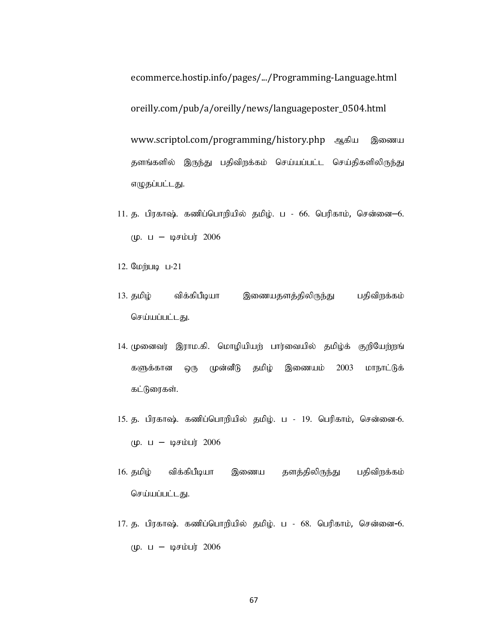ecommerce.hostip.info/pages/.../Programming-Language.html oreilly.com/pub/a/oreilly/news/languageposter\_0504.html www.scriptol.com/programming/history.php ஆகிய இணைய தளங்களில் இருந்து பதிவிறக்கம் செய்யப்பட்ட செய்திகளிலிருந்து எழுதப்பட்டது. ecommerce.hostip.info/pages/.../Programming-Language.html<br>oreilly.com/pub/a/oreilly/news/languageposter\_0504.html<br>www.scriptol.com/programming/history.php ஆகிய இணைய<br>தளங்களில் இருந்து பதிவிறக்கம் செய்யப்பட்ட செய்திகளிலிருந ecommerce.hostip.info/pages/.../Programming-Language.htm<br>oreilly.com/pub/a/oreilly/news/languageposter\_0504.html<br>www.scriptol.com/programming/history.php ஆகிய இணை<br>தளங்களில் இருந்து பதிவிறக்கம் செய்யப்பட்ட செய்திகளிலிருந்<br> oreilly.com/pub/a/oreilly/news/languageposter\_0504.html<br>www.scriptol.com/programming/history.php ஆகிய இணைய<br>தளங்களில் இருந்து பதிவிறக்கம் செய்யப்பட்ட செய்திகளிலிருந்து<br>எழுதப்பட்டது.<br>11. த. பிரகாஷ். கணிப்பொறியில் தமிழ். ப -

- $(\mu. \quad \text{L} \mu \text{F} \cdot \text{L}) = 2006$
- 
- செய்யப்பட்டது.
- www.scriptor.com/programming/mstory.pmp ஆகை இணைய<br>தளங்களில் இருந்து பதிவிறக்கம் செய்யப்பட்ட செய்திகளிலிருந்து<br>எழுதப்பட்டது.<br>11. த. பிரகாஷ் கணிப்பொறியில் தமிழ். ப 66. பெரிகாம், சென்னை—6.<br>மு. ப டிசம்பர் 2006<br>12. மேற்படி களுக்கான ஒரு முன்னீடு தமிழ் இணையம் 2003 மாநாட்டுக் கட்டுரைகள். 11. த. பரகாஷ, கணபனாற்றில் தமழ. ப - 66. வெர்காம், சென்னை-6.<br>- மு. ப – டிசம்பர் 2006<br>12. மேற்படி ப-21<br>- தமிழ் - விக்கிபீடியா - இணையதளத்திலிருந்து - பதிவிரக்கம்<br>- செய்யப்பட்டது.<br>- 14. முனைவர் இராம.கி. மொழியியற் பார்வையில் த 12. ஏமழிழி - விக்கியீடியா - இணையதளத்திலிருந்து - பதிவிறக்கம்<br>- செய்யப்பட்டது.<br>14. முனைவர் இராம.கி. மொழியியற் பார்வையில் தமிழ்க் குறிபேற்றங்<br>- களுக்கான ஒரு முன்னீடு தமிழ் - இணையம் - 2003 - மாநாட்டுக்<br>- கட்டுரைகள்.<br>15. த. ப செய்யப்பட்டது.<br>14. முனைவர் இராம.கி. மொழியியற் பார்வையில் தமிழ்க் குறியேற்றங்<br>-<br>களுக்கான ஒரு முன்னீடு தமிழ் இணையம் 2003 மாநாட்டுக்<br>- கட்டுரைகள்.<br>15. த. பிரகாஷ், கணிப்பொறியில் தமிழ். ப - 19. பெரிகாம், சென்னை-6.<br>16. தமிழ் -
- $(\mu. \quad \text{L} \mu \text{F} \cdot \text{L}) = 2006$
- செய்யப்பட்டது.
- $(\mu. \, \text{L} \mu \text{F} \cdot \text{L}) = 2006$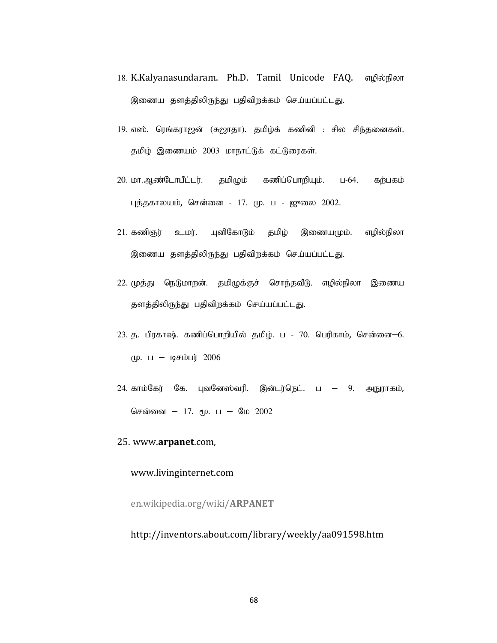- 18. K.Kalyanasundaram. Ph.D. Tamil Unicode FAQ. எழில்நிலா இணைய தளத்திலிருந்து பதிவிறக்கம் செய்யப்பட்டது. 18. K.Kalyanasundaram. Ph.D. Tamil Unicode FAQ. எழில்நிலா<br>இணைய தளத்திலிருந்து பதிவிறக்கம் செய்யப்பட்டது.<br>19. எஸ். ரெங்கராஜன் (சுஜாதா). தமிழ்க் கணினி : சில சிந்தனைகள்.<br> தமிழ் இணையம் 2003 மாநா 18. K.Kalyanasundaram. Ph.D. Tamil Unicode FAQ. எழில்நிலா<br>இணைய தளத்திலிருந்து பதிவிறக்கம் செய்யப்பட்டது.<br>19. எஸ். ரெங்கராஜன் (சுஜாதா). தமிழ்க் கணினி : சில சிந்தனைகள்.<br>தமிழ் இணையம் 2003 மாநாட்டுக் கட்டுரைகள்.<br>20. மா.ஆண்டோப 18. K.Kalyanasundaram. Ph.D. Tamil Unicode FAQ. எழில்நிலா<br>இணைய தளத்திலிருந்து பதிவிறக்கம் செய்யப்பட்டது.<br>19. எஸ். ரெங்கராஜன் (சுஜாதா). தமிழ்க் கணினி : சில சிந்தனைகள்.<br>தமிழ் இணையம் 2003 மாநாட்டுக் கட்டுரைகள்.<br>20. மா.ஆண்டோப
- தமிழ் இணையம் 2003 மாநாட்டுக் கட்டுரைகள்.
- புத்தகாலயம், சென்னை 17. மு. ப ஜுலை 2002. 18. K;Kalyanasundaram, Pri.D. Tamil Unicode PAQ. எழ்லநலா<br>இணைய தளத்திலிருந்து பதிவிறக்கம் செய்யப்பட்டது.<br>19. எஸ். ரெங்கராஜன் (சுஜாதா), தமிழ்க் கணினி : சில சிந்தனைகள்.<br>தமிழ் இணையம் 2003 மாநாட்டுக் கட்டுரைகள்.<br>20. மா.ஆண்டோரி
- இணைய தளத்திலிருந்து பதிவிறக்கம் செய்யப்பட்டது.
- தளத்திலிருந்து பதிவிறக்கம் செய்யப்பட்டது.
- 19. எஸ். ரெங்கராஜன் (சுஜாதர), தமழக கண்ன : சில சந்தனைகள்.<br>- தமிழ் இணையம் 2003 மாநாட்டுக் கட்டுரைகள்.<br>20. மா.ஆண்டோபீட்டர். தமிழும் கணிப்பொறியும். ப-64. கற்பகம்<br>- புத்தகாலயம், சென்னை 17. மு. ப ஜுலை 2002.<br>21. கணிஞ  $(\mu. \quad \text{L} - \mu \text{F} \cdot \text{L}) = 2006$
- $\pm 1$ . கணிஞர் உடற், மென்னை 17. மு. ப ஜுலை 2002.<br>21. கணிஞர் உடற், யுனிகோடும் தமிழ் இணையமும். எழில்நிலா<br>இணைய தளத்திலிருந்து பதிவிறக்கம் செய்யப்பட்டது.<br>22. முத்து நெடுமாறன். தமிழுக்குச் செய்யப்பட்டது.<br>தளத்திலிருந்து பத
- 25. www.arpanet.com,

#### www.livinginternet.com

en.wikipedia.org/wiki/ARPANET

#### http://inventors.about.com/library/weekly/aa091598.htm